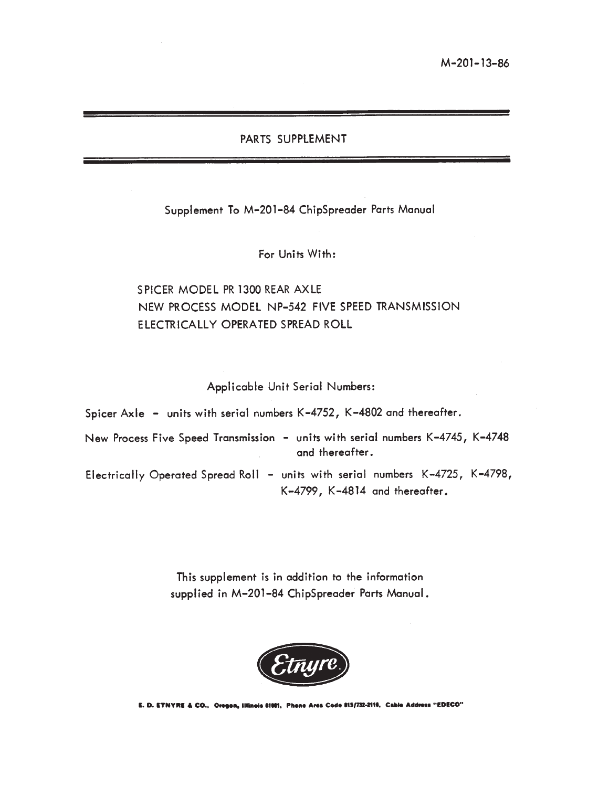#### PARTS SUPPLEMENT

Supplement To M-201-84 ChipSpreader Parts Manual

For Units With:

#### SPICER MODEL PR 1300 REAR AXLE NEW PROCESS MODEL NP-542 FIVE SPEED TRANSMISSION ELECTRICALLY OPERATED SPREAD ROLL

Applicable Unit Serial Numbers:

Spicer Axle - units with serial numbers K-4752, K-4802 and thereafter. New Process Five Speed Transmission - units with serial numbers K-4745, K-4748 and thereafter. Electrically Operated Spread Roll - units with serial numbers K-4725, K-4798, K-4799, K-4814 and thereafter.

> This supplement is in addition to the information supplied in M-201-84 ChipSpreader Parts Manual.



E. D. ETNYRE & CO., Oregon, Illinois 81001, Phone Area Code 815/732-2116, Cable Address "EDECO"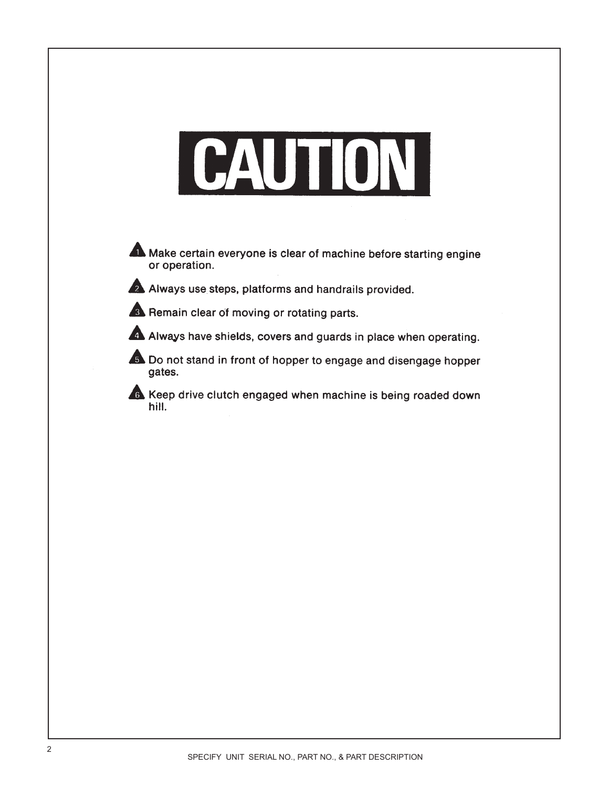# CAUTION



Make certain everyone is clear of machine before starting engine or operation.

Always use steps, platforms and handrails provided.

Remain clear of moving or rotating parts.

A Always have shields, covers and guards in place when operating.

Do not stand in front of hopper to engage and disengage hopper gates.

Keep drive clutch engaged when machine is being roaded down hill.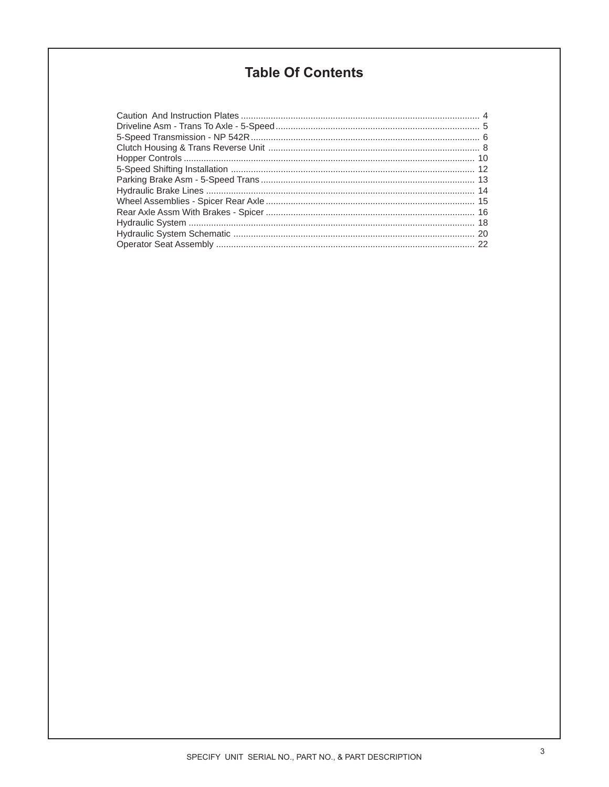#### **Table Of Contents**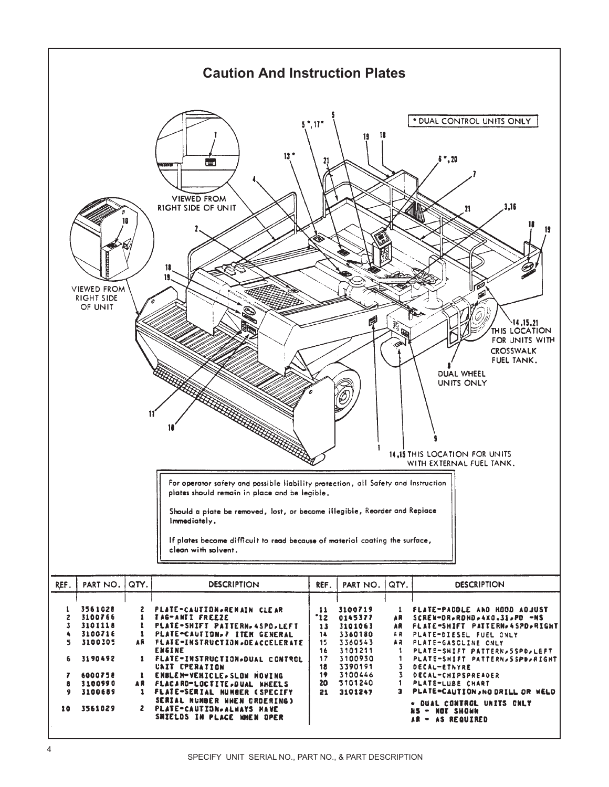<span id="page-3-0"></span>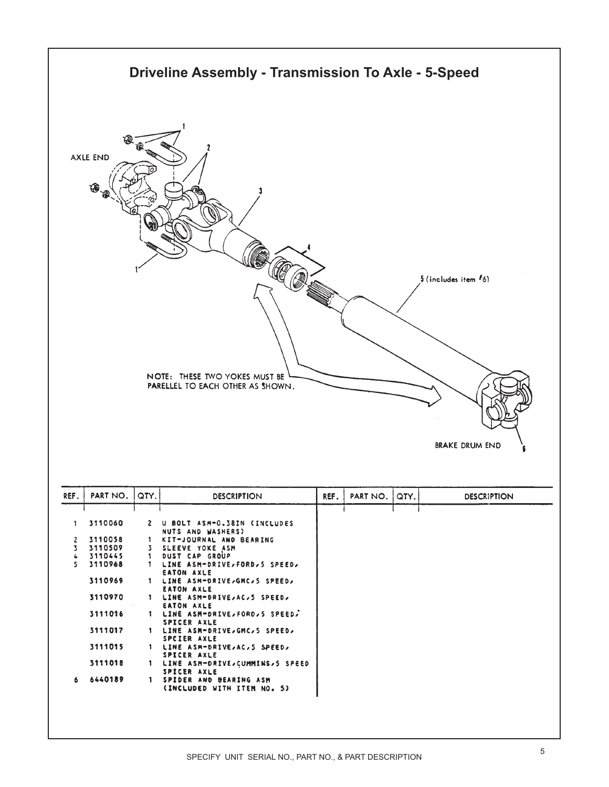<span id="page-4-0"></span>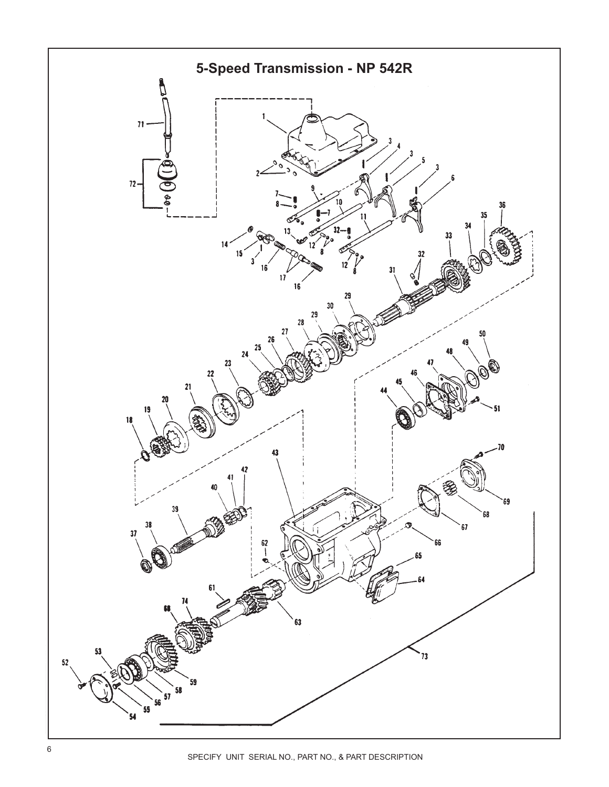<span id="page-5-0"></span>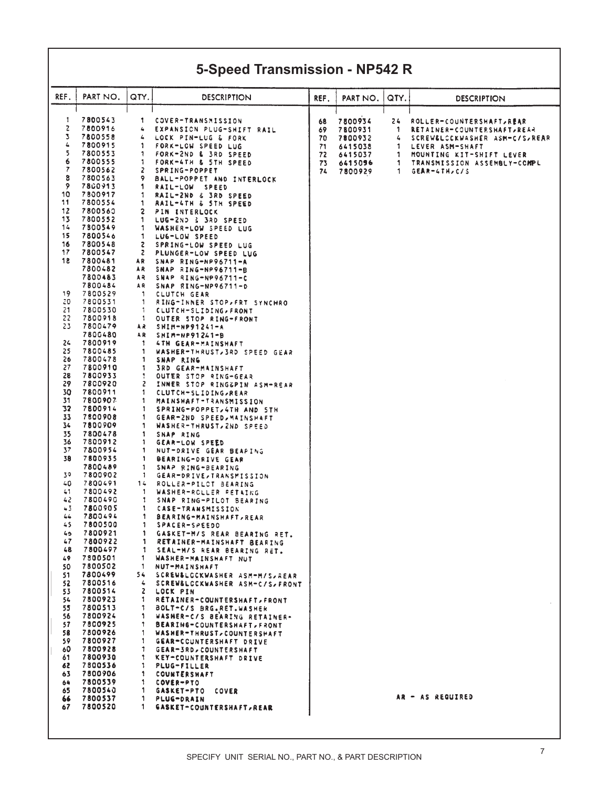### **5-Speed Transmission - NP542 R**

| REF.     | PART NO.           | QTY.         | <b>DESCRIPTION</b>                                          | REF. | PART NO. | QTY. | <b>DESCRIPTION</b>            |
|----------|--------------------|--------------|-------------------------------------------------------------|------|----------|------|-------------------------------|
|          |                    |              |                                                             |      |          |      |                               |
|          |                    |              |                                                             |      |          |      |                               |
| 1        | 7800543            | 1            | COVER-TRANSMISSION                                          | 68   | 7800934  | 24   | ROLLER-COUNTERSHAFT, REAR     |
| 2        | 7800916            | 4            | EXPANSION PLUG-SHIFT RAIL                                   | 69   | 7800931  | 1    | RETAINER-COUNTERSHAFT, REAR   |
| 3        | 7800558            | 4            | LOCK PIN-LUG & FORK                                         | 70   | 7800932  | 4    | SCREW&LCCKWASHER ASM-C/S/REAR |
| 4        | 7800915            | 1            | FORK-LOW SPEED LUG                                          | 71   | 6415038  | з.   | LEVER ASM-SHAFT               |
| 5        | 7800553            | 1            | FORK-2ND & 3RD SPEED                                        | 72   | 6415037  | 1.   | MOUNTING KIT-SHIFT LEVER      |
| 6        | 7800555            | -1           | FORK-4TH & STH SPEED                                        | 73   | 6415096  | 1.   | TRANSMISSION ASSEMBLY-COMPL   |
| 7        | 7800562            | 2            | SPRING-POPPET                                               | 74   | 7800929  | 1.   | <b>GEAR-4TH,C/S</b>           |
| 8        | 7800563            | 9            | BALL-POPPET AND INTERLOCK                                   |      |          |      |                               |
| 9        | 7800913            | 1            | RAIL-LOW SPEED                                              |      |          |      |                               |
| 10<br>11 | 7800917            | 1            | RAIL-2ND & 3RD SPEED                                        |      |          |      |                               |
|          | 7800554            | 1            | RAIL-4TH & STH SPEED                                        |      |          |      |                               |
| 12<br>13 | 7800560<br>7800552 | 2            | PIN INTERLOCK                                               |      |          |      |                               |
| 14       | 7800549            | 1<br>1       | LUG-2ND & 3RD SPEED<br>WASHER-LOW SPEED LUG                 |      |          |      |                               |
| 15       | 7800546            | 1            |                                                             |      |          |      |                               |
| 16       | 7800548            | 2            | LUG-LOW SPEED<br>SPRING-LOW SPEED LUG                       |      |          |      |                               |
| 17       | 7800547            | 2            | PLUNGER-LOW SPEED LUG                                       |      |          |      |                               |
| 18       | 7800481            | A R          | SNAP RING-NP96711-A                                         |      |          |      |                               |
|          | 7800482            | AR           | SNAP RING-NP96711-B                                         |      |          |      |                               |
|          | 7800483            | A R          | SNAP RING-NP96711-C                                         |      |          |      |                               |
|          | 7800484            | A R          | SNAP RING-NP96711-D                                         |      |          |      |                               |
| 19       | 7800529            | -1           | CLUTCH GEAR                                                 |      |          |      |                               |
| 20       | 7800531            | -1           | RING-INNER STOP, FRT SYNCHRO                                |      |          |      |                               |
| 21       | 7800530            | -1           | CLUTCH-SLIDING, FRONT                                       |      |          |      |                               |
| 22       | 7800918            | -1           | OUTER STOP RING-FRONT                                       |      |          |      |                               |
| 23       | 7800479            | AR           | SHIM-NP91241-A                                              |      |          |      |                               |
|          | 7800480            | A R          | SHIM-NP91241-B                                              |      |          |      |                               |
| 24       | 7800919            | -1           | <b>4TH GEAR-MAINSHAFT</b>                                   |      |          |      |                               |
| 25       | 7800485            | 1            | WASHER-THRUST, 3RD SPEED GEAR                               |      |          |      |                               |
| 26       | 7800478            | 1            | SNAP RING                                                   |      |          |      |                               |
| 27       | 7800910            | 1            | <b>SRD GEAR-MAINSHAFT</b>                                   |      |          |      |                               |
| 28       | 7800933            | 1            | OUTER STOP RING-GEAR                                        |      |          |      |                               |
| 29       | 7800920            | 2            | INNER STOP RINGGPIN ASM-REAR                                |      |          |      |                               |
| 30       | 7800911            | 1            | CLUTCH-SLIDING, REAR                                        |      |          |      |                               |
| 31       | 7800907            | 1.           | MAINSHAFT-TRANSMISSION                                      |      |          |      |                               |
| 32       | 7800914            | 1            | SPRING-POPPET, 4TH AND STH                                  |      |          |      |                               |
| 33       | 7800908            | 1            | GEAR−2ND SPEED,MAINSHAFT                                    |      |          |      |                               |
| 34       | 7800909            | 1            | WASHER-THRUST, ZND SPEED                                    |      |          |      |                               |
| 35<br>36 | 7800478<br>7800912 | 1<br>1       | SNAP RING                                                   |      |          |      |                               |
| 37       | 7800954            | 1            | GEAR-LOW SPEED                                              |      |          |      |                               |
| 38       | 7800935            | 1            | NUT-DRIVE GEAR BEAPING<br>BEARING-DRIVE GEAR                |      |          |      |                               |
|          | 7800489            | 1            | SNAP RING-BEARING                                           |      |          |      |                               |
| 39       | 7800902            | 1            | GEAR-DRIVE,TRANSMISSION                                     |      |          |      |                               |
| 40       | 7800491            | 14           | ROLLER-PILOT BEARING                                        |      |          |      |                               |
| 41       | 7800492            | -1           | WASHER-ROLLER RETAING                                       |      |          |      |                               |
| 42       | 7800490            | 1            | SNAP RING-PILOT BEARING                                     |      |          |      |                               |
| 43       | 7800905            | з.           | CASE-TRANSMISSION                                           |      |          |      |                               |
| 44       | 7800494            | 1            | <b>BEARING-MAINSHAFT, REAR</b>                              |      |          |      |                               |
| 45       | 7800500            | 1            | SPACER-SPEEDO                                               |      |          |      |                               |
| 46       | 7800921            | 1            | GASKET-M/S REAR BEARING RET.                                |      |          |      |                               |
| 47       | 7800922            | 1.           | RETAINER-MAINSHAFT BEARING                                  |      |          |      |                               |
| 48       | 7800497            | 1.           | SEAL-M/S REAR BEARING RET.                                  |      |          |      |                               |
| 49       | 7800501            | 1            | WASHER-MAINSHAFT NUT                                        |      |          |      |                               |
| 50       | 7800502            | 1            | NUT-MAINSHAFT                                               |      |          |      |                               |
| 51.      | 7800499            | 54.          | SCREWSLOCKWASHER ASM-M/S/REAR                               |      |          |      |                               |
| 52       | 7800516            | 4            | SCREW&LCCKWASHER ASM-C/S/FRONT                              |      |          |      |                               |
| 53       | 7800514<br>7800923 | $\mathbf{z}$ | LOCK PIN                                                    |      |          |      |                               |
| 54<br>55 | 7800513            | 1            | RETAINER-COUNTERSHAFT, FRONT                                |      |          |      |                               |
| 56       | 7800924            | 1.<br>1.     | BOLT-C/S BRG.RET.WASHER                                     |      |          |      |                               |
| 57       | 7800925            | 1.           | WASHER-C/S BEARING RETAINER-<br>BEARING-COUNTERSHAFT, FRONT |      |          |      |                               |
| 58       | 7800926            | 1            | WASHER-THRUST, COUNTERSHAFT                                 |      |          |      |                               |
| 59.      | 7800927            | 1.           | GEAR-CCUNTERSHAFT DRIVE                                     |      |          |      |                               |
| 60       | 7800928            | 1.           | <b>GEAR-3RD, COUNTERSHAFT</b>                               |      |          |      |                               |
| 61.      | 7800930            | 1.           | KEY-COUNTERSHAFT DRIVE                                      |      |          |      |                               |
| 62       | 7800536            | 1.           | PLUG-FILLER                                                 |      |          |      |                               |
| 63       | 7800906            | 1            | COUNTERSHAFT                                                |      |          |      |                               |
| 64       | 7800539            | 1            | COVER-PTO                                                   |      |          |      |                               |
| 65       | 7800540            | 1            | GASKET-PTO COVER                                            |      |          |      |                               |
| 66       | 7800537            | 1.           | PLUG-DRAIN                                                  |      |          |      | AR - AS REQUIRED              |
| 67.      | 7800520            | 1.           | <b>GASKET-COUNTERSHAFT, REAR</b>                            |      |          |      |                               |
|          |                    |              |                                                             |      |          |      |                               |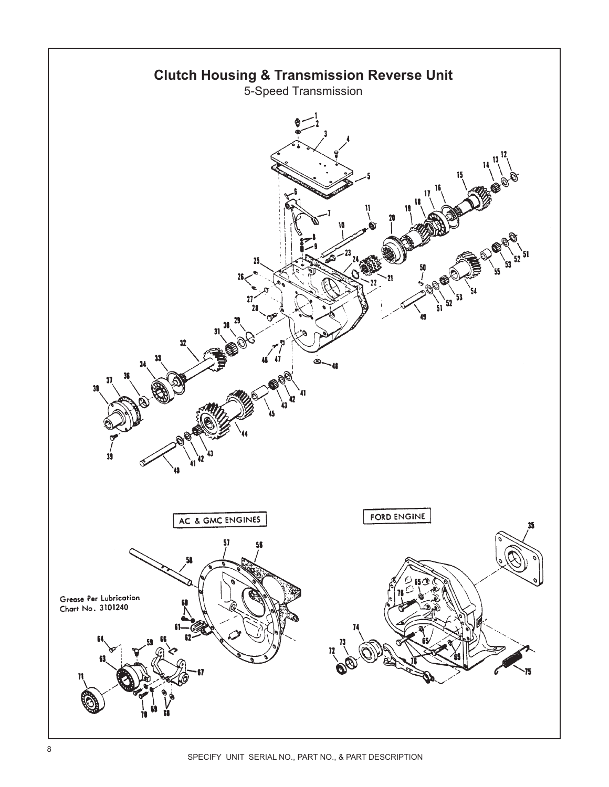<span id="page-7-0"></span>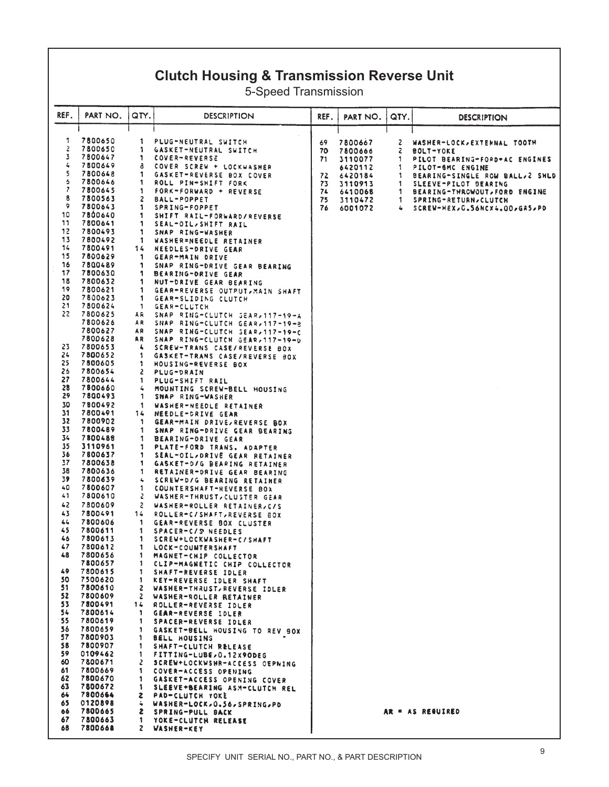#### **Clutch Housing & Transmission Reverse Unit**

5-Speed Transmission

| REF.      | PART NO.           | QTY.               | <b>DESCRIPTION</b>                                   | REF.     | PART NO. | QTY.   | <b>DESCRIPTION</b>                                        |
|-----------|--------------------|--------------------|------------------------------------------------------|----------|----------|--------|-----------------------------------------------------------|
|           |                    |                    |                                                      |          |          |        |                                                           |
| 1         | 7800650            | 1                  | PLUG-NEUTRAL SWITCH                                  | 69       | 7800667  | z      | WASHER-LOCK, EXTERNAL TOOTH                               |
| 2         | 7800650            | 1                  | GASKET-NEUTRAL SWITCH                                | 70       | 7800666  | Z      | <b>BOLT-YOKE</b>                                          |
| 3         | 7800647            | 1                  | COVER-REVERSE                                        | 71       | 3110077  | 1.     | PILOT BEARING-FORD+AC ENGINES                             |
| 4         | 7800649            | a                  | COVER SCREW + LOCKWASHER                             |          | 6420112  | 1      | PILOT-6MC ENGINE                                          |
| 5         | 7800648            | 1                  | GASKET-REVERSE BOX COVER                             | 72       | 6420184  | 1      | BEARING-SINGLE ROW BALL, 2 SHLD                           |
| 6<br>7    | 7800646<br>7800645 | 1                  | ROLL PIN-SHIFT FORK                                  | 73       | 3110913  | 1      | SLEEVE-PILOT BEARING                                      |
| 8         | 7800563            | 1<br>2             | FORK-FORWARD + REVERSE                               | 74       | 6410068  | 1      | BEARING-THROWOUT, FORD ENGINE                             |
| 9         | 7800643            | 1                  | BALL-POPPET<br>SPRING-FOPPET                         | 75<br>76 | 3110472  | 1<br>4 | SPRING-RETURN, CLUTCH<br>SCREW-HEX, G. S6NCX4.00, GAS, PD |
| 10        | 7800640            | 1                  | SHIFT RAIL-FORWARD/REVERSE                           |          | 6001072  |        |                                                           |
| 11        | 7800641            | 1                  | SEAL-OIL, SHIFT RAIL                                 |          |          |        |                                                           |
| 12        | 7800493            | 1                  | SNAP RING-WASHER                                     |          |          |        |                                                           |
| 13        | 7800492            | 1                  | WASHER=NEEDLE RETAINER                               |          |          |        |                                                           |
| 14        | 7800491            | 14                 | NEEDLES-DRIVE GEAR                                   |          |          |        |                                                           |
| 15        | 7800629            | 1                  | GEAR-MAIN DRIVE                                      |          |          |        |                                                           |
| 16        | 7800489            | 1                  | SNAP RING-DRIVE GEAR BEARING                         |          |          |        |                                                           |
| 17        | 7800630            | 1                  | BEARING-DRIVE GEAR                                   |          |          |        |                                                           |
| 18        | 7800632            | 1                  | NUT-DRIVE GEAR BEARING                               |          |          |        |                                                           |
| 19        | 7800621            | 1                  | GEAR-REVERSE OUTPUT, MAIN SHAFT                      |          |          |        |                                                           |
| 20        | 7800623            | 1                  | GEAR-SLIDING CLUTCH                                  |          |          |        |                                                           |
| 21        | 7800624            | 1                  | <b>GEAR-CLUTCH</b>                                   |          |          |        |                                                           |
| 22        | 7800625            | AR                 | SNAP RING-CLUTCH SEAR, 117-19-A                      |          |          |        |                                                           |
|           | 7800626            | A R                | SNAP RING-CLUTCH GEAR, 117-19-8                      |          |          |        |                                                           |
|           | 7800627            | A۶                 | SNAP RING-CLUTCH SEAR, 117-19-C                      |          |          |        |                                                           |
| 23        | 7800628<br>7800653 | AR.                | SNAP RING-CLUTCH GEAR, 117-19-0                      |          |          |        |                                                           |
| 24        | 7800652            | 4<br>1             | SCREW-TRANS CASE/REVERSE BOX                         |          |          |        |                                                           |
| 25        | 7800605            | ı.                 | GASKET-TRANS CASE/REVERSE BOX<br>HOUSING-REVERSE BOX |          |          |        |                                                           |
| 26        | 7800654            | 2                  | <b>PLUG-DRAIN</b>                                    |          |          |        |                                                           |
| 27        | 7800644            | 1                  | PLUG-SHIFT RAIL                                      |          |          |        |                                                           |
| 28        | 7800660            | 4                  | MOUNTING SCREW-BELL HOUSING                          |          |          |        |                                                           |
| 29        | 7800493            | 1                  | SNAP RING-WASHER                                     |          |          |        |                                                           |
| 30        | 7800492            | -1                 | WASHER-NEEDLE RETAINER                               |          |          |        |                                                           |
| 31        | 7800491            | 14                 | NEEDLE-DRIVE GEAR                                    |          |          |        |                                                           |
| 32        | 7800902            | -1                 | GEAR-MAIN DRIVE, REVERSE BOX                         |          |          |        |                                                           |
| 33        | 7800489            | 1                  | SNAP RING-DRIVE GEAR BEARING                         |          |          |        |                                                           |
| 34        | 7800488            | 1                  | BEARING-ORIVE GEAR                                   |          |          |        |                                                           |
| 35        | 3110961            | 1                  | PLATE-FORD TRANS. ADAPTER                            |          |          |        |                                                           |
| 36        | 7800637            | 1                  | SEAL-OIL/DRIVE GEAR RETAINER                         |          |          |        |                                                           |
| 37        | 7800638            | 1                  | GASKET-D/G BEARING RETAINER                          |          |          |        |                                                           |
| 38        | 7800636            | 1                  | RETAINER-DRIVE GEAR BEARING                          |          |          |        |                                                           |
| 39        | 7800639            | 4                  | SCREW-D/G BEARING RETAINER                           |          |          |        |                                                           |
| 40        | 7800607            | 1                  | COUNTERSHAFT-REVERSE BOX                             |          |          |        |                                                           |
| 41        | 7800610            | Z                  | WASHER-THRUST, CLUSTER GEAR                          |          |          |        |                                                           |
| 42        | 7800609            | 2                  | WASHER-ROLLER RETAINER, C/S                          |          |          |        |                                                           |
| 43        | 7800491            | 14                 | ROLLER-C/SHAFT, REVERSE BOX                          |          |          |        |                                                           |
| 44<br>45  | 7800606            | 1                  | GEAR-REVERSE BOX CLUSTER                             |          |          |        |                                                           |
| 46        | 7800611<br>7800613 | 1                  | SPACER-C/S NEEDLES                                   |          |          |        |                                                           |
| 47        | 7800612            | 1                  | SCREW+LCCKWASHER-C/SHAFT<br>LOCK-COUNTERSHAFT        |          |          |        |                                                           |
| 48        | 7800656            | 1.<br>1            | MAGNET-CHIP COLLECTOR                                |          |          |        |                                                           |
|           | 7800657            | 1.                 | CLIP-MAGNETIC CHIP COLLECTOR                         |          |          |        |                                                           |
| 49.       | 7800615            | 1.                 | SHAFT-REVERSE IDLER                                  |          |          |        |                                                           |
| 50.       | 7500620            | 1.                 | KEY-REVERSE IDLER SHAFT                              |          |          |        |                                                           |
| 51.       | 7800610            | 2                  | WASHER-THRUST, REVERSE IDLER                         |          |          |        |                                                           |
| 52.       | 7800609            |                    | 2 WASHER-ROLLER RETAINER                             |          |          |        |                                                           |
| 53.       | 7800491            |                    | 14 ROLLER-REVERSE IDLER                              |          |          |        |                                                           |
| 54        | 7800614            | $\mathbf{1}$       | GEAR-REVERSE IDLER                                   |          |          |        |                                                           |
| 55        | 7800619            | $\mathbf{1}$       | SPACER-REVERSE IDLER                                 |          |          |        |                                                           |
| 56        | 7800659            | 1.                 | GASKET-BELL HOUSING TO REV BOX                       |          |          |        |                                                           |
| 57        | 7800903            | 1                  | <b>BELL HOUSING</b>                                  |          |          |        |                                                           |
| 58        | 7800907            | 1.                 | SHAFT-CLUTCH RELEASE                                 |          |          |        |                                                           |
| 59.       | 0109462            | 1.                 | FITTING-LUBE, 0.12X9ODEG                             |          |          |        |                                                           |
| 60        | 7800671            | 2                  | SCREW+LOCKWSHR-ACCESS OEPNING                        |          |          |        |                                                           |
| 61        | 7800669            | 1.                 | COVER-ACCESS OPENING                                 |          |          |        |                                                           |
| 62<br>63. | 7800670<br>7800672 |                    | 1 GASKET-ACCESS OPENING COVER                        |          |          |        |                                                           |
| 64        | 7800664            | 1.<br>$\mathbf{z}$ | SLEEVE+BEARING ASM-CLUTCH REL<br>PAD-CLUTCH YOKE     |          |          |        |                                                           |
| 65.       | 0120898            |                    | 4 WASHER-LOCK, 0.56, SPRING, PD                      |          |          |        |                                                           |
| 66        | 7800665            |                    | 2 SPRING-PULL BACK                                   |          |          |        | AR = AS REGUIRED                                          |
| 67        | 7800663            | 1.                 | YOKE-CLUTCH RELEASE                                  |          |          |        |                                                           |
| 68        | 7800668            |                    | 2 WASHER-KEY                                         |          |          |        |                                                           |
|           |                    |                    |                                                      |          |          |        |                                                           |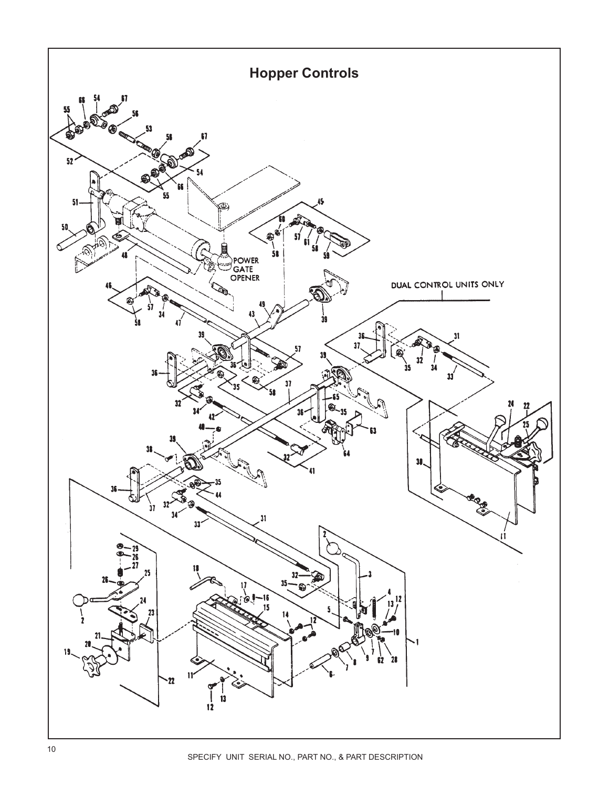<span id="page-9-0"></span>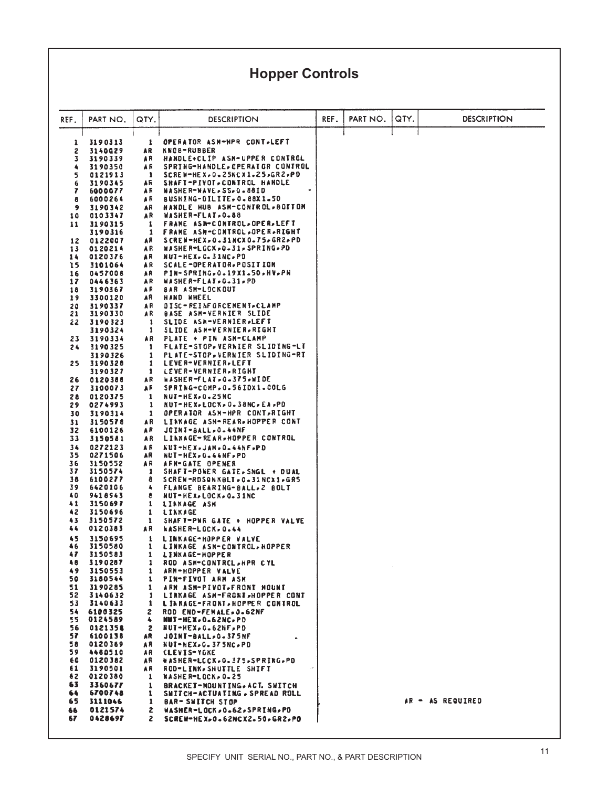## **Hopper Controls**

| REF.                         | PART NO.           | QTY.                | DESCRIPTION                                                      | REF. | PART NO. | QTY. | <b>DESCRIPTION</b> |
|------------------------------|--------------------|---------------------|------------------------------------------------------------------|------|----------|------|--------------------|
| 1                            | 3190313            | 1                   | OPERATOR ASM-HPR CONT.LEFT                                       |      |          |      |                    |
| 2                            | 3140029            | AR                  | KNC8-RUBBER                                                      |      |          |      |                    |
| 3                            | 3190339            | A R<br>A R          | HANDLE+CLIP ASH-UPPER CONTROL<br>SPRING-HANDLE, OPERATOR CONTROL |      |          |      |                    |
| ۰<br>5                       | 3190350<br>0121913 | 1                   | <b>SCREW-HEX,0.25NCX1.25,GR2,PD</b>                              |      |          |      |                    |
| 6                            | 3190345            | AR                  | SHAFT-PIVOT, CONTROL HANDLE                                      |      |          |      |                    |
| 7                            | 6000077            | A R                 | WASHER-WAVE-SS-0-88ID                                            |      |          |      |                    |
| 8<br>$\overline{\mathbf{9}}$ | 6000264<br>3190342 | AR<br>AR            | BUSHING-OILITE, 0.88X1.50<br>HANDLE HUB ASM-CONTROL>BOTTOM       |      |          |      |                    |
| 10                           | 0103347            | AR                  | WASHER-FLAT, 0.88                                                |      |          |      |                    |
| 11                           | 3190315            | 1                   | FRAME ASN-CONTROL, OPER, LEFT                                    |      |          |      |                    |
|                              | 3190316            | 1                   | <b>FRAME ASM-CONTROL.OPER.RIGHT</b>                              |      |          |      |                    |
| 12<br>13                     | 0122007<br>0120214 | AR<br>A R           | SCREW-HEX,0.31NCX0.75,GR2,PD<br>WASHER-LOCK . 0.31. SPRING.PD    |      |          |      |                    |
| 14                           | 0120376            | AR                  | NUT-HEX, C. 31NC, PD                                             |      |          |      |                    |
| 15                           | 3101064            | A R                 | <b>SCALE-OPERATOR, POSITION</b>                                  |      |          |      |                    |
| 16                           | 0457008            | AR                  | PIN-SPRING, 0.19X1.50, HV, PN                                    |      |          |      |                    |
| 17<br>18                     | 0446363<br>3190367 | A R<br>A R          | WASHER-FLAI, 0.31, PD<br><b>BAR ASM-LOCKOUT</b>                  |      |          |      |                    |
| 19                           | 3300120            | AR                  | HAND NHEEL                                                       |      |          |      |                    |
| 20                           | 3190337            | A R                 | DISC-REINFORCENENT.CLAMP                                         |      |          |      |                    |
| 21<br>22                     | 3190330<br>3190323 | AR<br>1             | <b>BASE ASM-VERNIER SLIDE</b><br>SLIDE ASH-VERNIER.LEFT          |      |          |      |                    |
|                              | 3190324            | 1                   | SLIDE ASH-VERNIER-RIGHT                                          |      |          |      |                    |
| 23                           | 3190334            | AR                  | PLATE + PIN ASM-CLAMP                                            |      |          |      |                    |
| 24                           | 3190325            | 1                   | <b>FLATE-STOP-VERNIER SLIDING-LT</b>                             |      |          |      |                    |
| 25                           | 3190326<br>3190328 | 1<br>1              | PLATE-STOP, VERNIER SLIDING-RT<br>LEVER-VERNIER, LEFT            |      |          |      |                    |
|                              | 3190327            | 1                   | LEVER-VERNIER, RIGHT                                             |      |          |      |                    |
| 26                           | 0120388            | AR                  | <b>WASHER-FLAT.0.375,WIDE</b>                                    |      |          |      |                    |
| 27                           | 3100073            | AR.                 | SPRING-COMP.0.56IDX1.COLG                                        |      |          |      |                    |
| 28<br>29                     | 0120375<br>0274993 | 1<br>1              | NUT-HEX.0.25NC<br><b>NUT-HEX+LOCK+0+38NC+EA+PD</b>               |      |          |      |                    |
| 30                           | 3190314            | 1                   | <b>OPERATOR ASM-HPR CONT,RIGHT</b>                               |      |          |      |                    |
| 31                           | 3150578            | A R                 | LINKAGE ASM-REAR.HOPPER CONT                                     |      |          |      |                    |
| 32                           | 6100126            | AR                  | <b>JOINT-BALL, 0.44NF</b>                                        |      |          |      |                    |
| 33<br>34                     | 3150581<br>0272123 | A R<br>A R          | LINXAGE-REAR, HOPPER CONTROL<br>KUI-HEX.JAM, O.44NF, PD          |      |          |      |                    |
| 35                           | 0271506            | AR                  | <b>NUT-HEX, G.44NF, PD</b>                                       |      |          |      |                    |
| 36                           | 3150552            | AR                  | AFN-GATE OPENER                                                  |      |          |      |                    |
| 37<br>38                     | 3150574            | 1                   | SHAFT-POWER GATE, SNGL + DUAL                                    |      |          |      |                    |
| 39                           | 6100277<br>6420106 | 8<br>4              | SCREW-RDSQNKBLI.0.31NCX1.GR5<br>FLANGE BEARING-BALL, 2 BOLT      |      |          |      |                    |
| 40                           | 9418943            | ŧ                   | NUT-HEX, LOCK, 0.31NC                                            |      |          |      |                    |
| 41                           | 3150697            | 1                   | LINKAGE ASH                                                      |      |          |      |                    |
| 42<br>43                     | 3150696<br>3150572 | 1<br>1              | <b>LINKAGE</b><br>SHAFT-PWR GATE + HOPPER VALVE                  |      |          |      |                    |
| 44                           | 0120383            | AR                  | <b>WASHER-LOCK.0.44</b>                                          |      |          |      |                    |
| 45                           | 3150695            | 1                   | LINKAGE-HOPPER VALVE                                             |      |          |      |                    |
| 46                           | 3150580            | 1                   | LINKAGE ASN-CONTROL, HOPPER                                      |      |          |      |                    |
| 47<br>48                     | 3150583<br>3190287 | 1<br>1              | <b>LINKAGE-HOPPER</b><br>ROD ASH-CONTRCL.HPR CYL                 |      |          |      |                    |
| 49                           | 3150553            | 1                   | ARN-HOPPER VALVE                                                 |      |          |      |                    |
| 50                           | 3180544            | 1                   | PIN-FIVOT ARM ASM                                                |      |          |      |                    |
| 51                           | 3190285            | 1                   | ARM ASM-PIVOT, FRONT MOUNT                                       |      |          |      |                    |
| 52<br>53                     | 3140632<br>3140633 | 1<br>1              | LINKAGE ASH-FRONT, HOPPER CONT<br>LINKAGE-FRONT, HOPPER CONTROL  |      |          |      |                    |
| 54                           | 6100325            | 2                   | ROD END-FEMALE, 0.62NF                                           |      |          |      |                    |
| 55.                          | 0124589            | 4                   | <b>NUI-HEX, 0.62NC, PD</b>                                       |      |          |      |                    |
| 56<br>57                     | 0121358            | $\mathbf{z}$        | <b>NUT-HEX.G.62NF.PD</b><br>JOINT-BALL, 0.375NF                  |      |          |      |                    |
| 58                           | 6100138<br>0120369 | AR<br>AR I          | NUT-HEX.0.375NC.PD                                               |      |          |      |                    |
| 59                           | 4480510            | AR.                 | <b>CLEVIS-YGKE</b>                                               |      |          |      |                    |
| 60                           | 0120382            | AR                  | WASHER-LOCK, 0.375, SPRING, PD                                   |      |          |      |                    |
| 61<br>62                     | 3190501<br>0120380 | A R<br>$\mathbf{1}$ | ROD-LINK, SHUTTLE SHIFT<br><b>NASHER-LOCK, 0.25</b>              |      |          |      |                    |
| 63                           | 3360677            | 1                   | BRACKET-MOUNTING, ACT. SWITCH                                    |      |          |      |                    |
| 64                           | 6700748            | 1                   | SWITCH-ACTUATING, SPREAD ROLL                                    |      |          |      |                    |
| 65                           | 3111046            | $\mathbf{1}$        | <b>BAR-SWITCH STOP</b>                                           |      |          |      | AR - AS REQUIRED   |
| 66                           | 0121574            | 2                   | WASHER-LOCK, 0.62, SPRING, PD                                    |      |          |      |                    |
| 67                           | 0428697            | 2                   | SCREW-HEX.0.62NCX2.50.GR2.PD                                     |      |          |      |                    |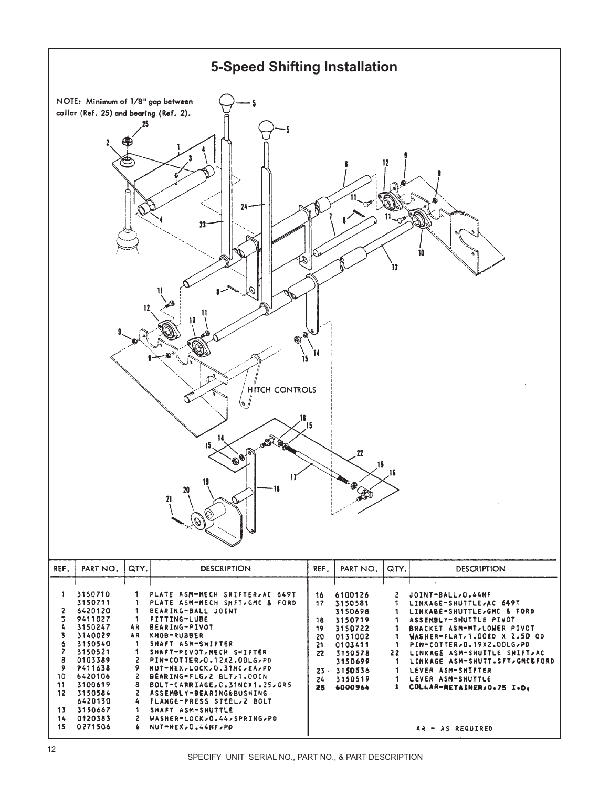<span id="page-11-0"></span>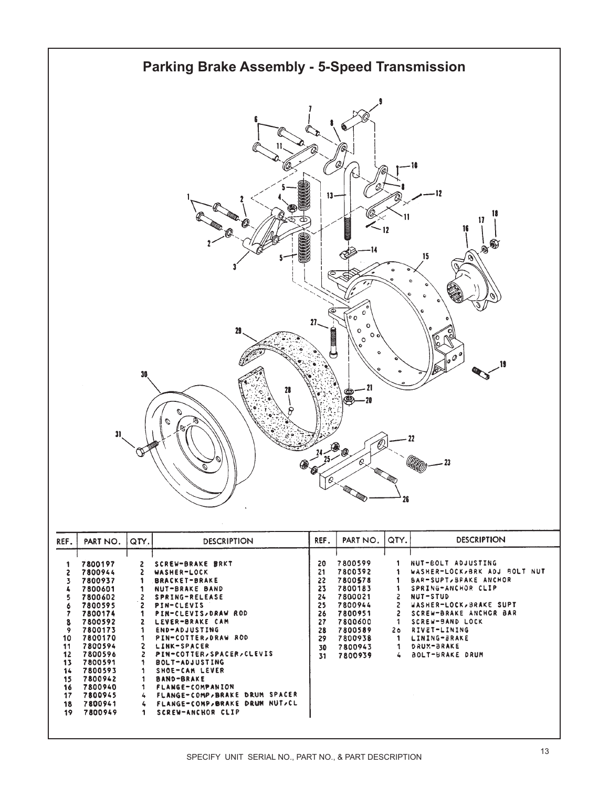<span id="page-12-0"></span>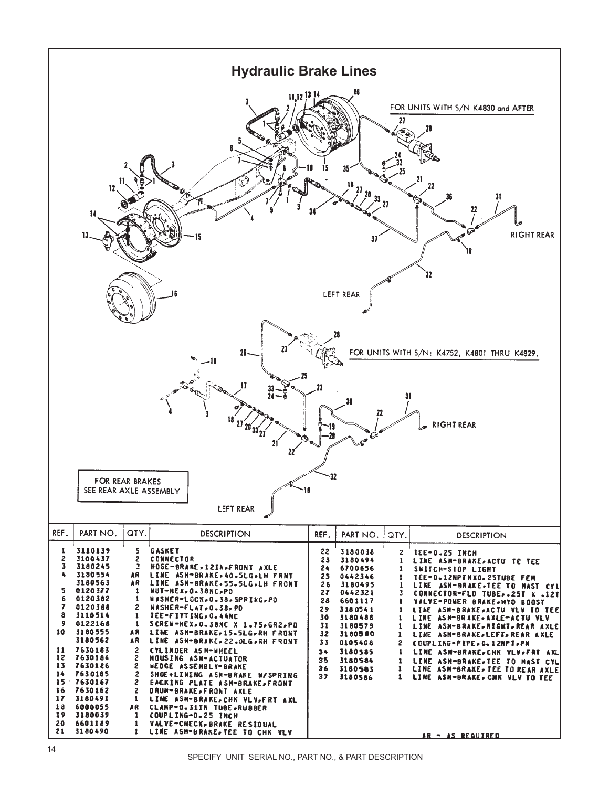<span id="page-13-0"></span>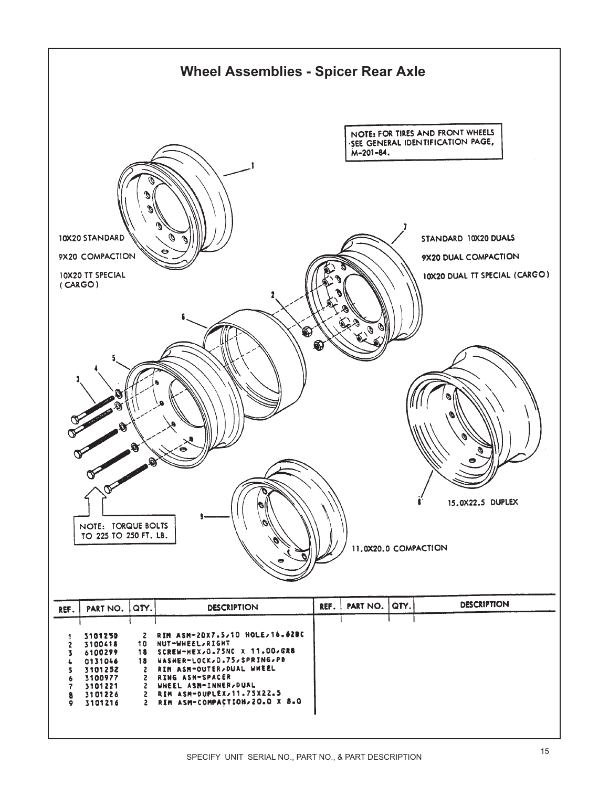<span id="page-14-0"></span>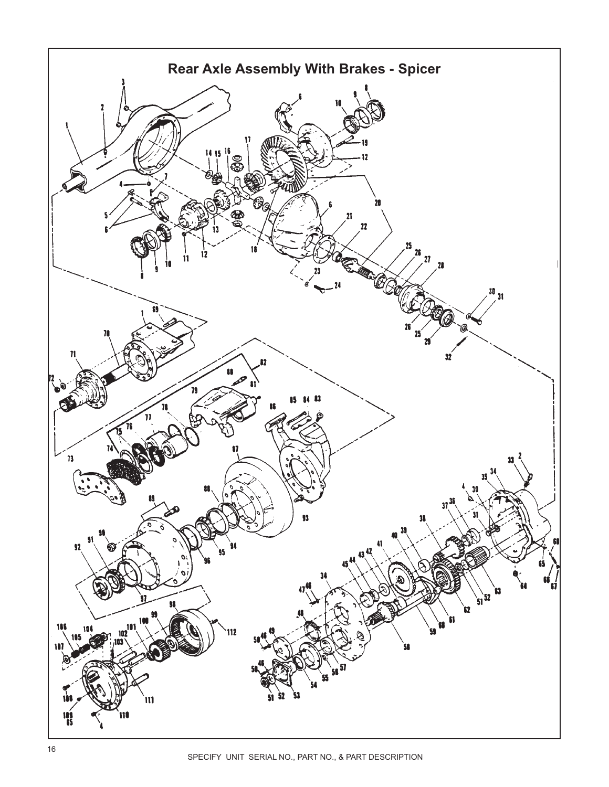<span id="page-15-0"></span>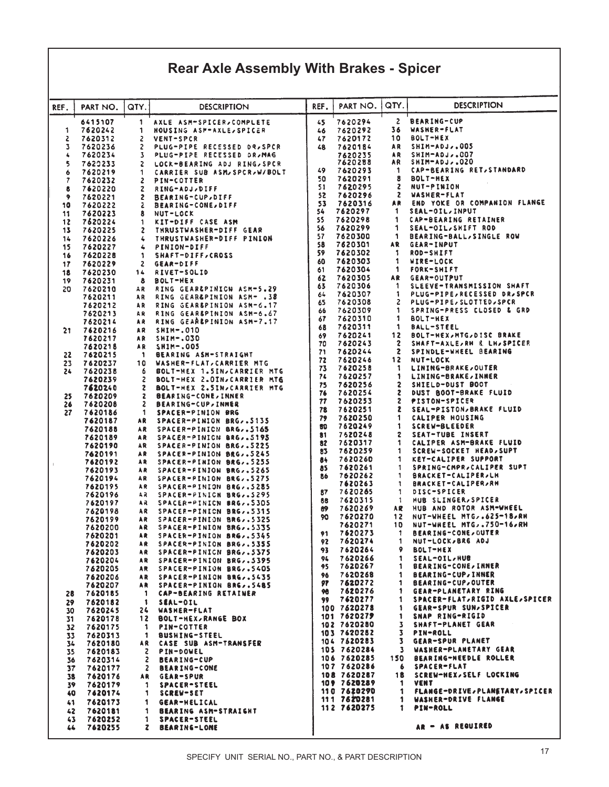## **Rear Axle Assembly With Brakes - Spicer**

| QTY.<br><b>DESCRIPTION</b><br>PART NO.<br>REF.<br>PART NO.<br>QTY.<br><b>DESCRIPTION</b><br>REF.<br>2<br><b>BEARING-CUP</b><br>6415107<br>1<br>7620294<br>AXLE ASM-SPICER, COMPLETE<br>45<br>36<br>WASHER-FLAT<br>1<br>7620242<br>1<br>HOUSING ASM-AXLE, SPICER<br>7620292<br>46<br>10<br>BOLT-HEX<br>2<br>7620312<br>2<br>7620172<br>VENT-SPCR<br>47<br>SHIM-ADJ,.005<br>3<br>7620236<br>2<br>PLUG-PIPE RECESSED DR.SPCR<br>7620184<br>A R<br>48<br>SHIM-ADJ,.CO7<br>7620234<br>PLUG-PIPE RECESSED DR.MAG<br>7620235<br>A R<br>4<br>3<br>SHIM-ADJ,.020<br>7620288<br>AR<br>5<br>7620233<br>2<br>LOCK-BEARING ADJ RING, SPCR<br>CAP-BEARING RET.STANDARD<br>49<br>7620293<br>1<br>7620219<br>6<br>CARRIER SUB ASM, SPCR, W/BOLT<br>1<br><b>BOLT-HEX</b><br>50<br>7620291<br>8<br>7<br>7620232<br>2<br>PIN-COTTER<br>2<br>NUT-PINION<br>51<br>7620295<br>8<br>7620220<br>z<br>RING-ADJ, DIFF<br>52<br>7620296<br>2<br><b>WASHER-FLAT</b><br>9<br>7620221<br>2<br><b>BEARING-CUP, DIFF</b><br>END YOKE OR COMPANION FLANGE<br>53<br>7620316<br>AR<br>10<br>7620222<br><b>BEARING-CONE, DIFF</b><br>z<br>7620297<br>SEAL-OIL, INPUT<br>54<br>1.<br>7620223<br>8<br>NUT-LOCK<br>11<br>55<br>7620298<br><b>CAP-BEARING RETAINER</b><br>1<br>7620224<br>12<br>1<br>KIT-DIFF CASE ASM<br>56<br>7620299<br>1<br>SEAL-OIL, SHIFT ROD<br>13<br>7620225<br>2<br>THRUSTWASHER-DIFF GEAR<br>7620300<br>57<br>1<br>BEARING-BALL, SINGLE ROW<br>14<br>7620226<br>THRUSTWASHER-DIFF PINION<br>4<br>58<br>7620301<br>AR<br>GEAR-INPUT<br>15<br>7620227<br>4<br>PINION-DIFF<br>59<br>7620302<br>1<br>ROD-SHIFT<br>7620228<br>1<br><b>SHAFT-DIFF, CROSS</b><br>16<br>7620303<br>1<br>60<br><b>AIKE-FOCK</b><br>7620229<br>2<br>17<br>GEAR-DIFF<br>7620304<br>1<br>61<br>FORK-SHIFT<br>7620230<br>RIVET-SOLID<br>18<br>14<br>62<br>7620305<br>A R<br><b>GEAR-OUTPUT</b><br>8<br>19<br>7620231<br><b>BOLT-HEX</b><br>7620306<br>SLEEVE-TRANSMISSION SHAFT<br>63<br>-1<br>7620210<br>RING GEAR&PINICN ASM-5.29<br>20<br>A R<br>7620307<br>PLUG-PIPE, RECESSED DR.SPCR<br>1<br>64<br>RING GEAR&PINION ASM- .38<br>7620211<br>AR<br>7620308<br>2<br>65<br>PLUG-PIPE, SLOTTED, SPCR<br>7620212<br>A R<br>RING GEARGPINION ASM-6.17<br>7620309<br>SPRING-PRESS CLOSED & GRD<br>1<br>66<br>7620213<br>RING GEARSPINION ASM-6.67<br>A R<br>7620310<br>1<br>67<br><b>BOLT-HEX</b><br>RING GEAREPINION ASM-7.17<br>7620214<br>AR<br>7620311<br>1<br><b>BALL-STEEL</b><br>68<br>$SHIM-.010$<br>21.<br>7620216<br>AR<br>BOLT-HEX, MTG, DISC BRAKE<br>7620241<br>12<br>69<br>7620217<br>$S$ HIM-.030<br>A R<br>7620243<br>2<br>SHAFT-AXLE,RH R LH,SPICER<br>70<br>$SMIN-005$<br>7620218<br>A R<br>7620244<br>71<br>2<br>SPINDLE-WHEEL BEARING<br>22<br>7620215<br>BEARING ASH-STRAIGHT<br>-1<br>72<br>7620246<br>NUT-LOCK<br>12<br>WASHER-FLAT, CARRIER MTG<br>23<br>7620237<br>10<br>LINING-BRAKE, OUTER<br>73<br>7620258<br>1<br>7620238<br>BOLT-HEX 1.5IN/CARRIER MTG<br>24<br>6<br>74<br>7620257<br>1<br>LINING-BRAKE, INNER<br>7620239<br>2<br>BOLT-HEX 2.0IN, CARRIER MTG<br>75<br>7620256<br>SHIELD-DUST BOOT<br>2<br>7620240<br>2<br>BOLT-HEX Z.SIN/CARRIER MTG<br>7620254<br>2<br>DUST BOOT-BRAKE FLUID<br>76<br>7620209<br>z<br>25<br><b>BEARING-CONE, INNER</b><br>2<br>77<br>7620253<br>PISTON-SPICER<br>2<br>26<br>7620208<br><b>BEARING-CUP, INNER</b><br>78<br>7620251<br>z<br>SEAL-PISTON, BRAKE FLUID<br>27<br>7620186<br>1<br>SPACER-PINION BRG<br>79<br>7620250<br>1<br>CALIPER HOUSING<br>7620187<br>AR.<br>SPACER-PINION BRG,.5135<br>80<br>7620249<br>1<br><b>SCREW-BLEEDER</b><br>7620188<br>AR.<br>SPACER-PINICN BRG5165<br>SEAT-TUBE INSERT<br>81<br>7520248<br>2<br>7620189<br>AR<br>SPACER-PINICN BRG,.5195<br>7620317<br>CALIPER ASM-BRAKE FLUID<br>82<br>1<br>7620190<br>AR.<br>SPACER-PINION BRG,.5225<br>7620259<br>SCREW-SOCKET HEAD, SUPT<br>83<br>1<br>7620191<br>A R<br>SPACER-PINION BRG5245<br>7620260<br>KEY-CALIPER SUPPORT<br>84<br>1<br>7620192<br>A R<br>SPACER-PINION BRG5255<br>SPRING-CMPR, CALIPER SUPT<br>7620261<br>85<br>1<br>7620193<br>A R<br>SPACER-FINION BRG,.5265<br>7620262<br><b>BRACKET-CALIPER,LH</b><br>1<br>86<br>7620194<br>A R<br>SPACER-PINION BRG5275<br>7620263<br><b>BRACKET-CALIPER,RH</b><br>1<br>7620195<br>A R<br>SPACER-PINION BRG,.5285<br>87<br>7620265<br>DISC-SPICER<br>1<br>7620196<br>42<br>SPACER-PINICN BRG,.5295<br>7620315<br>HUB SLINGER, SPICER<br>1<br>88<br>7620197<br>A R<br>SPACER-PINICN BRG,.5305<br>7620269<br>HUB AND ROTOR ASM-WHEEL<br>AR.<br>69<br>7620198<br>A R<br>SPACER-PINION BRG,.5315<br>NUT-WHEEL MTG,.625-18,RM<br>90<br>7620270<br>12<br>7620199<br>AR<br>SPACER-PINION BR6,.5325<br>7620271<br>NUT-WHEEL MTG750-16,RH<br>10<br>7620200<br>AR<br>SPACER-PINION BRG,.5335 |  |
|--------------------------------------------------------------------------------------------------------------------------------------------------------------------------------------------------------------------------------------------------------------------------------------------------------------------------------------------------------------------------------------------------------------------------------------------------------------------------------------------------------------------------------------------------------------------------------------------------------------------------------------------------------------------------------------------------------------------------------------------------------------------------------------------------------------------------------------------------------------------------------------------------------------------------------------------------------------------------------------------------------------------------------------------------------------------------------------------------------------------------------------------------------------------------------------------------------------------------------------------------------------------------------------------------------------------------------------------------------------------------------------------------------------------------------------------------------------------------------------------------------------------------------------------------------------------------------------------------------------------------------------------------------------------------------------------------------------------------------------------------------------------------------------------------------------------------------------------------------------------------------------------------------------------------------------------------------------------------------------------------------------------------------------------------------------------------------------------------------------------------------------------------------------------------------------------------------------------------------------------------------------------------------------------------------------------------------------------------------------------------------------------------------------------------------------------------------------------------------------------------------------------------------------------------------------------------------------------------------------------------------------------------------------------------------------------------------------------------------------------------------------------------------------------------------------------------------------------------------------------------------------------------------------------------------------------------------------------------------------------------------------------------------------------------------------------------------------------------------------------------------------------------------------------------------------------------------------------------------------------------------------------------------------------------------------------------------------------------------------------------------------------------------------------------------------------------------------------------------------------------------------------------------------------------------------------------------------------------------------------------------------------------------------------------------------------------------------------------------------------------------------------------------------------------------------------------------------------------------------------------------------------------------------------------------------------------------------------------------------------------------------------------------------------------------------------------------------------------------------------------------------------------------------------------------------------------------------------------------------------------------------------------------------------------------------------------------------------------------------------------------------------------------------------------------------------------------------------------------------------------------------------------------------------------------------------------------------------------------------------------------------------------------------------------------------------------------------------------------------------------|--|
|                                                                                                                                                                                                                                                                                                                                                                                                                                                                                                                                                                                                                                                                                                                                                                                                                                                                                                                                                                                                                                                                                                                                                                                                                                                                                                                                                                                                                                                                                                                                                                                                                                                                                                                                                                                                                                                                                                                                                                                                                                                                                                                                                                                                                                                                                                                                                                                                                                                                                                                                                                                                                                                                                                                                                                                                                                                                                                                                                                                                                                                                                                                                                                                                                                                                                                                                                                                                                                                                                                                                                                                                                                                                                                                                                                                                                                                                                                                                                                                                                                                                                                                                                                                                                                                                                                                                                                                                                                                                                                                                                                                                                                                                                                                                                  |  |
|                                                                                                                                                                                                                                                                                                                                                                                                                                                                                                                                                                                                                                                                                                                                                                                                                                                                                                                                                                                                                                                                                                                                                                                                                                                                                                                                                                                                                                                                                                                                                                                                                                                                                                                                                                                                                                                                                                                                                                                                                                                                                                                                                                                                                                                                                                                                                                                                                                                                                                                                                                                                                                                                                                                                                                                                                                                                                                                                                                                                                                                                                                                                                                                                                                                                                                                                                                                                                                                                                                                                                                                                                                                                                                                                                                                                                                                                                                                                                                                                                                                                                                                                                                                                                                                                                                                                                                                                                                                                                                                                                                                                                                                                                                                                                  |  |
|                                                                                                                                                                                                                                                                                                                                                                                                                                                                                                                                                                                                                                                                                                                                                                                                                                                                                                                                                                                                                                                                                                                                                                                                                                                                                                                                                                                                                                                                                                                                                                                                                                                                                                                                                                                                                                                                                                                                                                                                                                                                                                                                                                                                                                                                                                                                                                                                                                                                                                                                                                                                                                                                                                                                                                                                                                                                                                                                                                                                                                                                                                                                                                                                                                                                                                                                                                                                                                                                                                                                                                                                                                                                                                                                                                                                                                                                                                                                                                                                                                                                                                                                                                                                                                                                                                                                                                                                                                                                                                                                                                                                                                                                                                                                                  |  |
|                                                                                                                                                                                                                                                                                                                                                                                                                                                                                                                                                                                                                                                                                                                                                                                                                                                                                                                                                                                                                                                                                                                                                                                                                                                                                                                                                                                                                                                                                                                                                                                                                                                                                                                                                                                                                                                                                                                                                                                                                                                                                                                                                                                                                                                                                                                                                                                                                                                                                                                                                                                                                                                                                                                                                                                                                                                                                                                                                                                                                                                                                                                                                                                                                                                                                                                                                                                                                                                                                                                                                                                                                                                                                                                                                                                                                                                                                                                                                                                                                                                                                                                                                                                                                                                                                                                                                                                                                                                                                                                                                                                                                                                                                                                                                  |  |
|                                                                                                                                                                                                                                                                                                                                                                                                                                                                                                                                                                                                                                                                                                                                                                                                                                                                                                                                                                                                                                                                                                                                                                                                                                                                                                                                                                                                                                                                                                                                                                                                                                                                                                                                                                                                                                                                                                                                                                                                                                                                                                                                                                                                                                                                                                                                                                                                                                                                                                                                                                                                                                                                                                                                                                                                                                                                                                                                                                                                                                                                                                                                                                                                                                                                                                                                                                                                                                                                                                                                                                                                                                                                                                                                                                                                                                                                                                                                                                                                                                                                                                                                                                                                                                                                                                                                                                                                                                                                                                                                                                                                                                                                                                                                                  |  |
|                                                                                                                                                                                                                                                                                                                                                                                                                                                                                                                                                                                                                                                                                                                                                                                                                                                                                                                                                                                                                                                                                                                                                                                                                                                                                                                                                                                                                                                                                                                                                                                                                                                                                                                                                                                                                                                                                                                                                                                                                                                                                                                                                                                                                                                                                                                                                                                                                                                                                                                                                                                                                                                                                                                                                                                                                                                                                                                                                                                                                                                                                                                                                                                                                                                                                                                                                                                                                                                                                                                                                                                                                                                                                                                                                                                                                                                                                                                                                                                                                                                                                                                                                                                                                                                                                                                                                                                                                                                                                                                                                                                                                                                                                                                                                  |  |
|                                                                                                                                                                                                                                                                                                                                                                                                                                                                                                                                                                                                                                                                                                                                                                                                                                                                                                                                                                                                                                                                                                                                                                                                                                                                                                                                                                                                                                                                                                                                                                                                                                                                                                                                                                                                                                                                                                                                                                                                                                                                                                                                                                                                                                                                                                                                                                                                                                                                                                                                                                                                                                                                                                                                                                                                                                                                                                                                                                                                                                                                                                                                                                                                                                                                                                                                                                                                                                                                                                                                                                                                                                                                                                                                                                                                                                                                                                                                                                                                                                                                                                                                                                                                                                                                                                                                                                                                                                                                                                                                                                                                                                                                                                                                                  |  |
|                                                                                                                                                                                                                                                                                                                                                                                                                                                                                                                                                                                                                                                                                                                                                                                                                                                                                                                                                                                                                                                                                                                                                                                                                                                                                                                                                                                                                                                                                                                                                                                                                                                                                                                                                                                                                                                                                                                                                                                                                                                                                                                                                                                                                                                                                                                                                                                                                                                                                                                                                                                                                                                                                                                                                                                                                                                                                                                                                                                                                                                                                                                                                                                                                                                                                                                                                                                                                                                                                                                                                                                                                                                                                                                                                                                                                                                                                                                                                                                                                                                                                                                                                                                                                                                                                                                                                                                                                                                                                                                                                                                                                                                                                                                                                  |  |
|                                                                                                                                                                                                                                                                                                                                                                                                                                                                                                                                                                                                                                                                                                                                                                                                                                                                                                                                                                                                                                                                                                                                                                                                                                                                                                                                                                                                                                                                                                                                                                                                                                                                                                                                                                                                                                                                                                                                                                                                                                                                                                                                                                                                                                                                                                                                                                                                                                                                                                                                                                                                                                                                                                                                                                                                                                                                                                                                                                                                                                                                                                                                                                                                                                                                                                                                                                                                                                                                                                                                                                                                                                                                                                                                                                                                                                                                                                                                                                                                                                                                                                                                                                                                                                                                                                                                                                                                                                                                                                                                                                                                                                                                                                                                                  |  |
|                                                                                                                                                                                                                                                                                                                                                                                                                                                                                                                                                                                                                                                                                                                                                                                                                                                                                                                                                                                                                                                                                                                                                                                                                                                                                                                                                                                                                                                                                                                                                                                                                                                                                                                                                                                                                                                                                                                                                                                                                                                                                                                                                                                                                                                                                                                                                                                                                                                                                                                                                                                                                                                                                                                                                                                                                                                                                                                                                                                                                                                                                                                                                                                                                                                                                                                                                                                                                                                                                                                                                                                                                                                                                                                                                                                                                                                                                                                                                                                                                                                                                                                                                                                                                                                                                                                                                                                                                                                                                                                                                                                                                                                                                                                                                  |  |
|                                                                                                                                                                                                                                                                                                                                                                                                                                                                                                                                                                                                                                                                                                                                                                                                                                                                                                                                                                                                                                                                                                                                                                                                                                                                                                                                                                                                                                                                                                                                                                                                                                                                                                                                                                                                                                                                                                                                                                                                                                                                                                                                                                                                                                                                                                                                                                                                                                                                                                                                                                                                                                                                                                                                                                                                                                                                                                                                                                                                                                                                                                                                                                                                                                                                                                                                                                                                                                                                                                                                                                                                                                                                                                                                                                                                                                                                                                                                                                                                                                                                                                                                                                                                                                                                                                                                                                                                                                                                                                                                                                                                                                                                                                                                                  |  |
|                                                                                                                                                                                                                                                                                                                                                                                                                                                                                                                                                                                                                                                                                                                                                                                                                                                                                                                                                                                                                                                                                                                                                                                                                                                                                                                                                                                                                                                                                                                                                                                                                                                                                                                                                                                                                                                                                                                                                                                                                                                                                                                                                                                                                                                                                                                                                                                                                                                                                                                                                                                                                                                                                                                                                                                                                                                                                                                                                                                                                                                                                                                                                                                                                                                                                                                                                                                                                                                                                                                                                                                                                                                                                                                                                                                                                                                                                                                                                                                                                                                                                                                                                                                                                                                                                                                                                                                                                                                                                                                                                                                                                                                                                                                                                  |  |
|                                                                                                                                                                                                                                                                                                                                                                                                                                                                                                                                                                                                                                                                                                                                                                                                                                                                                                                                                                                                                                                                                                                                                                                                                                                                                                                                                                                                                                                                                                                                                                                                                                                                                                                                                                                                                                                                                                                                                                                                                                                                                                                                                                                                                                                                                                                                                                                                                                                                                                                                                                                                                                                                                                                                                                                                                                                                                                                                                                                                                                                                                                                                                                                                                                                                                                                                                                                                                                                                                                                                                                                                                                                                                                                                                                                                                                                                                                                                                                                                                                                                                                                                                                                                                                                                                                                                                                                                                                                                                                                                                                                                                                                                                                                                                  |  |
|                                                                                                                                                                                                                                                                                                                                                                                                                                                                                                                                                                                                                                                                                                                                                                                                                                                                                                                                                                                                                                                                                                                                                                                                                                                                                                                                                                                                                                                                                                                                                                                                                                                                                                                                                                                                                                                                                                                                                                                                                                                                                                                                                                                                                                                                                                                                                                                                                                                                                                                                                                                                                                                                                                                                                                                                                                                                                                                                                                                                                                                                                                                                                                                                                                                                                                                                                                                                                                                                                                                                                                                                                                                                                                                                                                                                                                                                                                                                                                                                                                                                                                                                                                                                                                                                                                                                                                                                                                                                                                                                                                                                                                                                                                                                                  |  |
|                                                                                                                                                                                                                                                                                                                                                                                                                                                                                                                                                                                                                                                                                                                                                                                                                                                                                                                                                                                                                                                                                                                                                                                                                                                                                                                                                                                                                                                                                                                                                                                                                                                                                                                                                                                                                                                                                                                                                                                                                                                                                                                                                                                                                                                                                                                                                                                                                                                                                                                                                                                                                                                                                                                                                                                                                                                                                                                                                                                                                                                                                                                                                                                                                                                                                                                                                                                                                                                                                                                                                                                                                                                                                                                                                                                                                                                                                                                                                                                                                                                                                                                                                                                                                                                                                                                                                                                                                                                                                                                                                                                                                                                                                                                                                  |  |
|                                                                                                                                                                                                                                                                                                                                                                                                                                                                                                                                                                                                                                                                                                                                                                                                                                                                                                                                                                                                                                                                                                                                                                                                                                                                                                                                                                                                                                                                                                                                                                                                                                                                                                                                                                                                                                                                                                                                                                                                                                                                                                                                                                                                                                                                                                                                                                                                                                                                                                                                                                                                                                                                                                                                                                                                                                                                                                                                                                                                                                                                                                                                                                                                                                                                                                                                                                                                                                                                                                                                                                                                                                                                                                                                                                                                                                                                                                                                                                                                                                                                                                                                                                                                                                                                                                                                                                                                                                                                                                                                                                                                                                                                                                                                                  |  |
|                                                                                                                                                                                                                                                                                                                                                                                                                                                                                                                                                                                                                                                                                                                                                                                                                                                                                                                                                                                                                                                                                                                                                                                                                                                                                                                                                                                                                                                                                                                                                                                                                                                                                                                                                                                                                                                                                                                                                                                                                                                                                                                                                                                                                                                                                                                                                                                                                                                                                                                                                                                                                                                                                                                                                                                                                                                                                                                                                                                                                                                                                                                                                                                                                                                                                                                                                                                                                                                                                                                                                                                                                                                                                                                                                                                                                                                                                                                                                                                                                                                                                                                                                                                                                                                                                                                                                                                                                                                                                                                                                                                                                                                                                                                                                  |  |
|                                                                                                                                                                                                                                                                                                                                                                                                                                                                                                                                                                                                                                                                                                                                                                                                                                                                                                                                                                                                                                                                                                                                                                                                                                                                                                                                                                                                                                                                                                                                                                                                                                                                                                                                                                                                                                                                                                                                                                                                                                                                                                                                                                                                                                                                                                                                                                                                                                                                                                                                                                                                                                                                                                                                                                                                                                                                                                                                                                                                                                                                                                                                                                                                                                                                                                                                                                                                                                                                                                                                                                                                                                                                                                                                                                                                                                                                                                                                                                                                                                                                                                                                                                                                                                                                                                                                                                                                                                                                                                                                                                                                                                                                                                                                                  |  |
|                                                                                                                                                                                                                                                                                                                                                                                                                                                                                                                                                                                                                                                                                                                                                                                                                                                                                                                                                                                                                                                                                                                                                                                                                                                                                                                                                                                                                                                                                                                                                                                                                                                                                                                                                                                                                                                                                                                                                                                                                                                                                                                                                                                                                                                                                                                                                                                                                                                                                                                                                                                                                                                                                                                                                                                                                                                                                                                                                                                                                                                                                                                                                                                                                                                                                                                                                                                                                                                                                                                                                                                                                                                                                                                                                                                                                                                                                                                                                                                                                                                                                                                                                                                                                                                                                                                                                                                                                                                                                                                                                                                                                                                                                                                                                  |  |
|                                                                                                                                                                                                                                                                                                                                                                                                                                                                                                                                                                                                                                                                                                                                                                                                                                                                                                                                                                                                                                                                                                                                                                                                                                                                                                                                                                                                                                                                                                                                                                                                                                                                                                                                                                                                                                                                                                                                                                                                                                                                                                                                                                                                                                                                                                                                                                                                                                                                                                                                                                                                                                                                                                                                                                                                                                                                                                                                                                                                                                                                                                                                                                                                                                                                                                                                                                                                                                                                                                                                                                                                                                                                                                                                                                                                                                                                                                                                                                                                                                                                                                                                                                                                                                                                                                                                                                                                                                                                                                                                                                                                                                                                                                                                                  |  |
|                                                                                                                                                                                                                                                                                                                                                                                                                                                                                                                                                                                                                                                                                                                                                                                                                                                                                                                                                                                                                                                                                                                                                                                                                                                                                                                                                                                                                                                                                                                                                                                                                                                                                                                                                                                                                                                                                                                                                                                                                                                                                                                                                                                                                                                                                                                                                                                                                                                                                                                                                                                                                                                                                                                                                                                                                                                                                                                                                                                                                                                                                                                                                                                                                                                                                                                                                                                                                                                                                                                                                                                                                                                                                                                                                                                                                                                                                                                                                                                                                                                                                                                                                                                                                                                                                                                                                                                                                                                                                                                                                                                                                                                                                                                                                  |  |
|                                                                                                                                                                                                                                                                                                                                                                                                                                                                                                                                                                                                                                                                                                                                                                                                                                                                                                                                                                                                                                                                                                                                                                                                                                                                                                                                                                                                                                                                                                                                                                                                                                                                                                                                                                                                                                                                                                                                                                                                                                                                                                                                                                                                                                                                                                                                                                                                                                                                                                                                                                                                                                                                                                                                                                                                                                                                                                                                                                                                                                                                                                                                                                                                                                                                                                                                                                                                                                                                                                                                                                                                                                                                                                                                                                                                                                                                                                                                                                                                                                                                                                                                                                                                                                                                                                                                                                                                                                                                                                                                                                                                                                                                                                                                                  |  |
|                                                                                                                                                                                                                                                                                                                                                                                                                                                                                                                                                                                                                                                                                                                                                                                                                                                                                                                                                                                                                                                                                                                                                                                                                                                                                                                                                                                                                                                                                                                                                                                                                                                                                                                                                                                                                                                                                                                                                                                                                                                                                                                                                                                                                                                                                                                                                                                                                                                                                                                                                                                                                                                                                                                                                                                                                                                                                                                                                                                                                                                                                                                                                                                                                                                                                                                                                                                                                                                                                                                                                                                                                                                                                                                                                                                                                                                                                                                                                                                                                                                                                                                                                                                                                                                                                                                                                                                                                                                                                                                                                                                                                                                                                                                                                  |  |
|                                                                                                                                                                                                                                                                                                                                                                                                                                                                                                                                                                                                                                                                                                                                                                                                                                                                                                                                                                                                                                                                                                                                                                                                                                                                                                                                                                                                                                                                                                                                                                                                                                                                                                                                                                                                                                                                                                                                                                                                                                                                                                                                                                                                                                                                                                                                                                                                                                                                                                                                                                                                                                                                                                                                                                                                                                                                                                                                                                                                                                                                                                                                                                                                                                                                                                                                                                                                                                                                                                                                                                                                                                                                                                                                                                                                                                                                                                                                                                                                                                                                                                                                                                                                                                                                                                                                                                                                                                                                                                                                                                                                                                                                                                                                                  |  |
|                                                                                                                                                                                                                                                                                                                                                                                                                                                                                                                                                                                                                                                                                                                                                                                                                                                                                                                                                                                                                                                                                                                                                                                                                                                                                                                                                                                                                                                                                                                                                                                                                                                                                                                                                                                                                                                                                                                                                                                                                                                                                                                                                                                                                                                                                                                                                                                                                                                                                                                                                                                                                                                                                                                                                                                                                                                                                                                                                                                                                                                                                                                                                                                                                                                                                                                                                                                                                                                                                                                                                                                                                                                                                                                                                                                                                                                                                                                                                                                                                                                                                                                                                                                                                                                                                                                                                                                                                                                                                                                                                                                                                                                                                                                                                  |  |
|                                                                                                                                                                                                                                                                                                                                                                                                                                                                                                                                                                                                                                                                                                                                                                                                                                                                                                                                                                                                                                                                                                                                                                                                                                                                                                                                                                                                                                                                                                                                                                                                                                                                                                                                                                                                                                                                                                                                                                                                                                                                                                                                                                                                                                                                                                                                                                                                                                                                                                                                                                                                                                                                                                                                                                                                                                                                                                                                                                                                                                                                                                                                                                                                                                                                                                                                                                                                                                                                                                                                                                                                                                                                                                                                                                                                                                                                                                                                                                                                                                                                                                                                                                                                                                                                                                                                                                                                                                                                                                                                                                                                                                                                                                                                                  |  |
|                                                                                                                                                                                                                                                                                                                                                                                                                                                                                                                                                                                                                                                                                                                                                                                                                                                                                                                                                                                                                                                                                                                                                                                                                                                                                                                                                                                                                                                                                                                                                                                                                                                                                                                                                                                                                                                                                                                                                                                                                                                                                                                                                                                                                                                                                                                                                                                                                                                                                                                                                                                                                                                                                                                                                                                                                                                                                                                                                                                                                                                                                                                                                                                                                                                                                                                                                                                                                                                                                                                                                                                                                                                                                                                                                                                                                                                                                                                                                                                                                                                                                                                                                                                                                                                                                                                                                                                                                                                                                                                                                                                                                                                                                                                                                  |  |
|                                                                                                                                                                                                                                                                                                                                                                                                                                                                                                                                                                                                                                                                                                                                                                                                                                                                                                                                                                                                                                                                                                                                                                                                                                                                                                                                                                                                                                                                                                                                                                                                                                                                                                                                                                                                                                                                                                                                                                                                                                                                                                                                                                                                                                                                                                                                                                                                                                                                                                                                                                                                                                                                                                                                                                                                                                                                                                                                                                                                                                                                                                                                                                                                                                                                                                                                                                                                                                                                                                                                                                                                                                                                                                                                                                                                                                                                                                                                                                                                                                                                                                                                                                                                                                                                                                                                                                                                                                                                                                                                                                                                                                                                                                                                                  |  |
|                                                                                                                                                                                                                                                                                                                                                                                                                                                                                                                                                                                                                                                                                                                                                                                                                                                                                                                                                                                                                                                                                                                                                                                                                                                                                                                                                                                                                                                                                                                                                                                                                                                                                                                                                                                                                                                                                                                                                                                                                                                                                                                                                                                                                                                                                                                                                                                                                                                                                                                                                                                                                                                                                                                                                                                                                                                                                                                                                                                                                                                                                                                                                                                                                                                                                                                                                                                                                                                                                                                                                                                                                                                                                                                                                                                                                                                                                                                                                                                                                                                                                                                                                                                                                                                                                                                                                                                                                                                                                                                                                                                                                                                                                                                                                  |  |
|                                                                                                                                                                                                                                                                                                                                                                                                                                                                                                                                                                                                                                                                                                                                                                                                                                                                                                                                                                                                                                                                                                                                                                                                                                                                                                                                                                                                                                                                                                                                                                                                                                                                                                                                                                                                                                                                                                                                                                                                                                                                                                                                                                                                                                                                                                                                                                                                                                                                                                                                                                                                                                                                                                                                                                                                                                                                                                                                                                                                                                                                                                                                                                                                                                                                                                                                                                                                                                                                                                                                                                                                                                                                                                                                                                                                                                                                                                                                                                                                                                                                                                                                                                                                                                                                                                                                                                                                                                                                                                                                                                                                                                                                                                                                                  |  |
|                                                                                                                                                                                                                                                                                                                                                                                                                                                                                                                                                                                                                                                                                                                                                                                                                                                                                                                                                                                                                                                                                                                                                                                                                                                                                                                                                                                                                                                                                                                                                                                                                                                                                                                                                                                                                                                                                                                                                                                                                                                                                                                                                                                                                                                                                                                                                                                                                                                                                                                                                                                                                                                                                                                                                                                                                                                                                                                                                                                                                                                                                                                                                                                                                                                                                                                                                                                                                                                                                                                                                                                                                                                                                                                                                                                                                                                                                                                                                                                                                                                                                                                                                                                                                                                                                                                                                                                                                                                                                                                                                                                                                                                                                                                                                  |  |
|                                                                                                                                                                                                                                                                                                                                                                                                                                                                                                                                                                                                                                                                                                                                                                                                                                                                                                                                                                                                                                                                                                                                                                                                                                                                                                                                                                                                                                                                                                                                                                                                                                                                                                                                                                                                                                                                                                                                                                                                                                                                                                                                                                                                                                                                                                                                                                                                                                                                                                                                                                                                                                                                                                                                                                                                                                                                                                                                                                                                                                                                                                                                                                                                                                                                                                                                                                                                                                                                                                                                                                                                                                                                                                                                                                                                                                                                                                                                                                                                                                                                                                                                                                                                                                                                                                                                                                                                                                                                                                                                                                                                                                                                                                                                                  |  |
|                                                                                                                                                                                                                                                                                                                                                                                                                                                                                                                                                                                                                                                                                                                                                                                                                                                                                                                                                                                                                                                                                                                                                                                                                                                                                                                                                                                                                                                                                                                                                                                                                                                                                                                                                                                                                                                                                                                                                                                                                                                                                                                                                                                                                                                                                                                                                                                                                                                                                                                                                                                                                                                                                                                                                                                                                                                                                                                                                                                                                                                                                                                                                                                                                                                                                                                                                                                                                                                                                                                                                                                                                                                                                                                                                                                                                                                                                                                                                                                                                                                                                                                                                                                                                                                                                                                                                                                                                                                                                                                                                                                                                                                                                                                                                  |  |
|                                                                                                                                                                                                                                                                                                                                                                                                                                                                                                                                                                                                                                                                                                                                                                                                                                                                                                                                                                                                                                                                                                                                                                                                                                                                                                                                                                                                                                                                                                                                                                                                                                                                                                                                                                                                                                                                                                                                                                                                                                                                                                                                                                                                                                                                                                                                                                                                                                                                                                                                                                                                                                                                                                                                                                                                                                                                                                                                                                                                                                                                                                                                                                                                                                                                                                                                                                                                                                                                                                                                                                                                                                                                                                                                                                                                                                                                                                                                                                                                                                                                                                                                                                                                                                                                                                                                                                                                                                                                                                                                                                                                                                                                                                                                                  |  |
|                                                                                                                                                                                                                                                                                                                                                                                                                                                                                                                                                                                                                                                                                                                                                                                                                                                                                                                                                                                                                                                                                                                                                                                                                                                                                                                                                                                                                                                                                                                                                                                                                                                                                                                                                                                                                                                                                                                                                                                                                                                                                                                                                                                                                                                                                                                                                                                                                                                                                                                                                                                                                                                                                                                                                                                                                                                                                                                                                                                                                                                                                                                                                                                                                                                                                                                                                                                                                                                                                                                                                                                                                                                                                                                                                                                                                                                                                                                                                                                                                                                                                                                                                                                                                                                                                                                                                                                                                                                                                                                                                                                                                                                                                                                                                  |  |
|                                                                                                                                                                                                                                                                                                                                                                                                                                                                                                                                                                                                                                                                                                                                                                                                                                                                                                                                                                                                                                                                                                                                                                                                                                                                                                                                                                                                                                                                                                                                                                                                                                                                                                                                                                                                                                                                                                                                                                                                                                                                                                                                                                                                                                                                                                                                                                                                                                                                                                                                                                                                                                                                                                                                                                                                                                                                                                                                                                                                                                                                                                                                                                                                                                                                                                                                                                                                                                                                                                                                                                                                                                                                                                                                                                                                                                                                                                                                                                                                                                                                                                                                                                                                                                                                                                                                                                                                                                                                                                                                                                                                                                                                                                                                                  |  |
|                                                                                                                                                                                                                                                                                                                                                                                                                                                                                                                                                                                                                                                                                                                                                                                                                                                                                                                                                                                                                                                                                                                                                                                                                                                                                                                                                                                                                                                                                                                                                                                                                                                                                                                                                                                                                                                                                                                                                                                                                                                                                                                                                                                                                                                                                                                                                                                                                                                                                                                                                                                                                                                                                                                                                                                                                                                                                                                                                                                                                                                                                                                                                                                                                                                                                                                                                                                                                                                                                                                                                                                                                                                                                                                                                                                                                                                                                                                                                                                                                                                                                                                                                                                                                                                                                                                                                                                                                                                                                                                                                                                                                                                                                                                                                  |  |
|                                                                                                                                                                                                                                                                                                                                                                                                                                                                                                                                                                                                                                                                                                                                                                                                                                                                                                                                                                                                                                                                                                                                                                                                                                                                                                                                                                                                                                                                                                                                                                                                                                                                                                                                                                                                                                                                                                                                                                                                                                                                                                                                                                                                                                                                                                                                                                                                                                                                                                                                                                                                                                                                                                                                                                                                                                                                                                                                                                                                                                                                                                                                                                                                                                                                                                                                                                                                                                                                                                                                                                                                                                                                                                                                                                                                                                                                                                                                                                                                                                                                                                                                                                                                                                                                                                                                                                                                                                                                                                                                                                                                                                                                                                                                                  |  |
|                                                                                                                                                                                                                                                                                                                                                                                                                                                                                                                                                                                                                                                                                                                                                                                                                                                                                                                                                                                                                                                                                                                                                                                                                                                                                                                                                                                                                                                                                                                                                                                                                                                                                                                                                                                                                                                                                                                                                                                                                                                                                                                                                                                                                                                                                                                                                                                                                                                                                                                                                                                                                                                                                                                                                                                                                                                                                                                                                                                                                                                                                                                                                                                                                                                                                                                                                                                                                                                                                                                                                                                                                                                                                                                                                                                                                                                                                                                                                                                                                                                                                                                                                                                                                                                                                                                                                                                                                                                                                                                                                                                                                                                                                                                                                  |  |
|                                                                                                                                                                                                                                                                                                                                                                                                                                                                                                                                                                                                                                                                                                                                                                                                                                                                                                                                                                                                                                                                                                                                                                                                                                                                                                                                                                                                                                                                                                                                                                                                                                                                                                                                                                                                                                                                                                                                                                                                                                                                                                                                                                                                                                                                                                                                                                                                                                                                                                                                                                                                                                                                                                                                                                                                                                                                                                                                                                                                                                                                                                                                                                                                                                                                                                                                                                                                                                                                                                                                                                                                                                                                                                                                                                                                                                                                                                                                                                                                                                                                                                                                                                                                                                                                                                                                                                                                                                                                                                                                                                                                                                                                                                                                                  |  |
|                                                                                                                                                                                                                                                                                                                                                                                                                                                                                                                                                                                                                                                                                                                                                                                                                                                                                                                                                                                                                                                                                                                                                                                                                                                                                                                                                                                                                                                                                                                                                                                                                                                                                                                                                                                                                                                                                                                                                                                                                                                                                                                                                                                                                                                                                                                                                                                                                                                                                                                                                                                                                                                                                                                                                                                                                                                                                                                                                                                                                                                                                                                                                                                                                                                                                                                                                                                                                                                                                                                                                                                                                                                                                                                                                                                                                                                                                                                                                                                                                                                                                                                                                                                                                                                                                                                                                                                                                                                                                                                                                                                                                                                                                                                                                  |  |
| 7620273<br>1<br>BEARING-CONE, OUTER<br>91<br>7620201<br>AR<br>SPACER-PINION BRG,.5345                                                                                                                                                                                                                                                                                                                                                                                                                                                                                                                                                                                                                                                                                                                                                                                                                                                                                                                                                                                                                                                                                                                                                                                                                                                                                                                                                                                                                                                                                                                                                                                                                                                                                                                                                                                                                                                                                                                                                                                                                                                                                                                                                                                                                                                                                                                                                                                                                                                                                                                                                                                                                                                                                                                                                                                                                                                                                                                                                                                                                                                                                                                                                                                                                                                                                                                                                                                                                                                                                                                                                                                                                                                                                                                                                                                                                                                                                                                                                                                                                                                                                                                                                                                                                                                                                                                                                                                                                                                                                                                                                                                                                                                            |  |
| 7620274<br>NUT-LOCK, BRG ADJ<br>1<br>92<br>7620202<br>SPACER-PINION BRG,.5355<br>AR I                                                                                                                                                                                                                                                                                                                                                                                                                                                                                                                                                                                                                                                                                                                                                                                                                                                                                                                                                                                                                                                                                                                                                                                                                                                                                                                                                                                                                                                                                                                                                                                                                                                                                                                                                                                                                                                                                                                                                                                                                                                                                                                                                                                                                                                                                                                                                                                                                                                                                                                                                                                                                                                                                                                                                                                                                                                                                                                                                                                                                                                                                                                                                                                                                                                                                                                                                                                                                                                                                                                                                                                                                                                                                                                                                                                                                                                                                                                                                                                                                                                                                                                                                                                                                                                                                                                                                                                                                                                                                                                                                                                                                                                            |  |
| 7620264<br>9<br><b>BOLT-HEX</b><br>93<br>7620203<br>SPACER-PINICN BRG,.5375<br>AR.<br>7620266<br><b>SEAL-OIL, HUB</b><br>94<br>1                                                                                                                                                                                                                                                                                                                                                                                                                                                                                                                                                                                                                                                                                                                                                                                                                                                                                                                                                                                                                                                                                                                                                                                                                                                                                                                                                                                                                                                                                                                                                                                                                                                                                                                                                                                                                                                                                                                                                                                                                                                                                                                                                                                                                                                                                                                                                                                                                                                                                                                                                                                                                                                                                                                                                                                                                                                                                                                                                                                                                                                                                                                                                                                                                                                                                                                                                                                                                                                                                                                                                                                                                                                                                                                                                                                                                                                                                                                                                                                                                                                                                                                                                                                                                                                                                                                                                                                                                                                                                                                                                                                                                 |  |
| 7620204<br>SPACER-PINION BRG,.5395<br>AR.<br>7620267<br>BEARING-CONE, INNER<br>1<br>95<br>7620205<br>SPACER-PINION BRG,.5405<br>AR.                                                                                                                                                                                                                                                                                                                                                                                                                                                                                                                                                                                                                                                                                                                                                                                                                                                                                                                                                                                                                                                                                                                                                                                                                                                                                                                                                                                                                                                                                                                                                                                                                                                                                                                                                                                                                                                                                                                                                                                                                                                                                                                                                                                                                                                                                                                                                                                                                                                                                                                                                                                                                                                                                                                                                                                                                                                                                                                                                                                                                                                                                                                                                                                                                                                                                                                                                                                                                                                                                                                                                                                                                                                                                                                                                                                                                                                                                                                                                                                                                                                                                                                                                                                                                                                                                                                                                                                                                                                                                                                                                                                                              |  |
| 7620268<br>BEARING-CUP, INNER<br>1<br>96<br>7620206<br>SPACER-PINION BRG, 5435<br>AR.                                                                                                                                                                                                                                                                                                                                                                                                                                                                                                                                                                                                                                                                                                                                                                                                                                                                                                                                                                                                                                                                                                                                                                                                                                                                                                                                                                                                                                                                                                                                                                                                                                                                                                                                                                                                                                                                                                                                                                                                                                                                                                                                                                                                                                                                                                                                                                                                                                                                                                                                                                                                                                                                                                                                                                                                                                                                                                                                                                                                                                                                                                                                                                                                                                                                                                                                                                                                                                                                                                                                                                                                                                                                                                                                                                                                                                                                                                                                                                                                                                                                                                                                                                                                                                                                                                                                                                                                                                                                                                                                                                                                                                                            |  |
| 7620272<br><b>BEARING-CUP, OUTER</b><br>97<br>1<br>7620207<br>AR<br>SPACER-PINION BR6,.5485                                                                                                                                                                                                                                                                                                                                                                                                                                                                                                                                                                                                                                                                                                                                                                                                                                                                                                                                                                                                                                                                                                                                                                                                                                                                                                                                                                                                                                                                                                                                                                                                                                                                                                                                                                                                                                                                                                                                                                                                                                                                                                                                                                                                                                                                                                                                                                                                                                                                                                                                                                                                                                                                                                                                                                                                                                                                                                                                                                                                                                                                                                                                                                                                                                                                                                                                                                                                                                                                                                                                                                                                                                                                                                                                                                                                                                                                                                                                                                                                                                                                                                                                                                                                                                                                                                                                                                                                                                                                                                                                                                                                                                                      |  |
| 7620276<br>GEAR-PLANETARY RING<br>98<br>1<br>7620185<br>CAP-BEARING RETAINER<br>28<br>1<br>SPACER-FLAT,RIGID AXLE,SPICER                                                                                                                                                                                                                                                                                                                                                                                                                                                                                                                                                                                                                                                                                                                                                                                                                                                                                                                                                                                                                                                                                                                                                                                                                                                                                                                                                                                                                                                                                                                                                                                                                                                                                                                                                                                                                                                                                                                                                                                                                                                                                                                                                                                                                                                                                                                                                                                                                                                                                                                                                                                                                                                                                                                                                                                                                                                                                                                                                                                                                                                                                                                                                                                                                                                                                                                                                                                                                                                                                                                                                                                                                                                                                                                                                                                                                                                                                                                                                                                                                                                                                                                                                                                                                                                                                                                                                                                                                                                                                                                                                                                                                         |  |
| 99 7620277<br>1<br>7620182<br>29<br>$\mathbf{1}$<br>SEAL-OIL<br>100 7620278<br><b>GEAR-SPUR SUN, SPICER</b><br>1                                                                                                                                                                                                                                                                                                                                                                                                                                                                                                                                                                                                                                                                                                                                                                                                                                                                                                                                                                                                                                                                                                                                                                                                                                                                                                                                                                                                                                                                                                                                                                                                                                                                                                                                                                                                                                                                                                                                                                                                                                                                                                                                                                                                                                                                                                                                                                                                                                                                                                                                                                                                                                                                                                                                                                                                                                                                                                                                                                                                                                                                                                                                                                                                                                                                                                                                                                                                                                                                                                                                                                                                                                                                                                                                                                                                                                                                                                                                                                                                                                                                                                                                                                                                                                                                                                                                                                                                                                                                                                                                                                                                                                 |  |
| 7620245<br>24<br><b>WASHER-FLAT</b><br>30<br>101 7620279<br>SNAP RING-RIGID<br>1<br>7620178<br>12 <sup>2</sup><br>BOLT-HEX, RANGE BOX<br>31                                                                                                                                                                                                                                                                                                                                                                                                                                                                                                                                                                                                                                                                                                                                                                                                                                                                                                                                                                                                                                                                                                                                                                                                                                                                                                                                                                                                                                                                                                                                                                                                                                                                                                                                                                                                                                                                                                                                                                                                                                                                                                                                                                                                                                                                                                                                                                                                                                                                                                                                                                                                                                                                                                                                                                                                                                                                                                                                                                                                                                                                                                                                                                                                                                                                                                                                                                                                                                                                                                                                                                                                                                                                                                                                                                                                                                                                                                                                                                                                                                                                                                                                                                                                                                                                                                                                                                                                                                                                                                                                                                                                      |  |
| 102 7620280<br>3<br>SHAFT-PLANET GEAR<br>PIN-COTTER<br>32<br>7620175<br>$\mathbf{1}$                                                                                                                                                                                                                                                                                                                                                                                                                                                                                                                                                                                                                                                                                                                                                                                                                                                                                                                                                                                                                                                                                                                                                                                                                                                                                                                                                                                                                                                                                                                                                                                                                                                                                                                                                                                                                                                                                                                                                                                                                                                                                                                                                                                                                                                                                                                                                                                                                                                                                                                                                                                                                                                                                                                                                                                                                                                                                                                                                                                                                                                                                                                                                                                                                                                                                                                                                                                                                                                                                                                                                                                                                                                                                                                                                                                                                                                                                                                                                                                                                                                                                                                                                                                                                                                                                                                                                                                                                                                                                                                                                                                                                                                             |  |
| 3<br>103 7620282<br><b>PIN-ROLL</b><br><b>BUSHING-STEEL</b><br>33<br>7620313<br>1                                                                                                                                                                                                                                                                                                                                                                                                                                                                                                                                                                                                                                                                                                                                                                                                                                                                                                                                                                                                                                                                                                                                                                                                                                                                                                                                                                                                                                                                                                                                                                                                                                                                                                                                                                                                                                                                                                                                                                                                                                                                                                                                                                                                                                                                                                                                                                                                                                                                                                                                                                                                                                                                                                                                                                                                                                                                                                                                                                                                                                                                                                                                                                                                                                                                                                                                                                                                                                                                                                                                                                                                                                                                                                                                                                                                                                                                                                                                                                                                                                                                                                                                                                                                                                                                                                                                                                                                                                                                                                                                                                                                                                                                |  |
| 104 7620283<br>3<br><b>GEAR-SPUR PLANET</b><br>7620180<br>CASE SUB ASM-TRANSFER<br>34<br>A R<br>105 7620284<br>3.<br><b>WASHER-PLANETARY GEAR</b>                                                                                                                                                                                                                                                                                                                                                                                                                                                                                                                                                                                                                                                                                                                                                                                                                                                                                                                                                                                                                                                                                                                                                                                                                                                                                                                                                                                                                                                                                                                                                                                                                                                                                                                                                                                                                                                                                                                                                                                                                                                                                                                                                                                                                                                                                                                                                                                                                                                                                                                                                                                                                                                                                                                                                                                                                                                                                                                                                                                                                                                                                                                                                                                                                                                                                                                                                                                                                                                                                                                                                                                                                                                                                                                                                                                                                                                                                                                                                                                                                                                                                                                                                                                                                                                                                                                                                                                                                                                                                                                                                                                                |  |
| 35<br>7620183<br>2<br>PIN-DOWEL<br>BEARING-NEEDLE ROLLER<br>106 7620285<br>150<br>36<br>7620314<br>2<br><b>BEARING-CUP</b>                                                                                                                                                                                                                                                                                                                                                                                                                                                                                                                                                                                                                                                                                                                                                                                                                                                                                                                                                                                                                                                                                                                                                                                                                                                                                                                                                                                                                                                                                                                                                                                                                                                                                                                                                                                                                                                                                                                                                                                                                                                                                                                                                                                                                                                                                                                                                                                                                                                                                                                                                                                                                                                                                                                                                                                                                                                                                                                                                                                                                                                                                                                                                                                                                                                                                                                                                                                                                                                                                                                                                                                                                                                                                                                                                                                                                                                                                                                                                                                                                                                                                                                                                                                                                                                                                                                                                                                                                                                                                                                                                                                                                       |  |
| 107 7620286<br>SPACER-FLAT<br>6.<br>37<br>7620177<br>$\mathbf{2}$<br><b>BEARING-CONE</b>                                                                                                                                                                                                                                                                                                                                                                                                                                                                                                                                                                                                                                                                                                                                                                                                                                                                                                                                                                                                                                                                                                                                                                                                                                                                                                                                                                                                                                                                                                                                                                                                                                                                                                                                                                                                                                                                                                                                                                                                                                                                                                                                                                                                                                                                                                                                                                                                                                                                                                                                                                                                                                                                                                                                                                                                                                                                                                                                                                                                                                                                                                                                                                                                                                                                                                                                                                                                                                                                                                                                                                                                                                                                                                                                                                                                                                                                                                                                                                                                                                                                                                                                                                                                                                                                                                                                                                                                                                                                                                                                                                                                                                                         |  |
| 18 SCREW-HEX, SELF LOCKING<br>108 7620287<br>38<br>7620176<br><b>GEAR-SPUR</b><br>AR.                                                                                                                                                                                                                                                                                                                                                                                                                                                                                                                                                                                                                                                                                                                                                                                                                                                                                                                                                                                                                                                                                                                                                                                                                                                                                                                                                                                                                                                                                                                                                                                                                                                                                                                                                                                                                                                                                                                                                                                                                                                                                                                                                                                                                                                                                                                                                                                                                                                                                                                                                                                                                                                                                                                                                                                                                                                                                                                                                                                                                                                                                                                                                                                                                                                                                                                                                                                                                                                                                                                                                                                                                                                                                                                                                                                                                                                                                                                                                                                                                                                                                                                                                                                                                                                                                                                                                                                                                                                                                                                                                                                                                                                            |  |
| 109 7620289<br><b>VENT</b><br>$\mathbf 1$<br>7620179<br>39<br>SPACER-STEEL<br>1<br>110 7620290<br>FLANGE-DRIVE, PLANETARY, SPICER<br>1.                                                                                                                                                                                                                                                                                                                                                                                                                                                                                                                                                                                                                                                                                                                                                                                                                                                                                                                                                                                                                                                                                                                                                                                                                                                                                                                                                                                                                                                                                                                                                                                                                                                                                                                                                                                                                                                                                                                                                                                                                                                                                                                                                                                                                                                                                                                                                                                                                                                                                                                                                                                                                                                                                                                                                                                                                                                                                                                                                                                                                                                                                                                                                                                                                                                                                                                                                                                                                                                                                                                                                                                                                                                                                                                                                                                                                                                                                                                                                                                                                                                                                                                                                                                                                                                                                                                                                                                                                                                                                                                                                                                                          |  |
| 40<br>7620174<br>1.<br>SCREW-SET<br>111 7620281<br>WASHER-DRIVE FLANGE<br>1                                                                                                                                                                                                                                                                                                                                                                                                                                                                                                                                                                                                                                                                                                                                                                                                                                                                                                                                                                                                                                                                                                                                                                                                                                                                                                                                                                                                                                                                                                                                                                                                                                                                                                                                                                                                                                                                                                                                                                                                                                                                                                                                                                                                                                                                                                                                                                                                                                                                                                                                                                                                                                                                                                                                                                                                                                                                                                                                                                                                                                                                                                                                                                                                                                                                                                                                                                                                                                                                                                                                                                                                                                                                                                                                                                                                                                                                                                                                                                                                                                                                                                                                                                                                                                                                                                                                                                                                                                                                                                                                                                                                                                                                      |  |
| 7620173<br>41<br>1<br><b>GEAR-HELICAL</b><br>112 7620275<br>PIN-ROLL<br>1.<br>7620181<br>42<br>$\mathbf{1}$<br>BEARING ASM-STRAIGHT                                                                                                                                                                                                                                                                                                                                                                                                                                                                                                                                                                                                                                                                                                                                                                                                                                                                                                                                                                                                                                                                                                                                                                                                                                                                                                                                                                                                                                                                                                                                                                                                                                                                                                                                                                                                                                                                                                                                                                                                                                                                                                                                                                                                                                                                                                                                                                                                                                                                                                                                                                                                                                                                                                                                                                                                                                                                                                                                                                                                                                                                                                                                                                                                                                                                                                                                                                                                                                                                                                                                                                                                                                                                                                                                                                                                                                                                                                                                                                                                                                                                                                                                                                                                                                                                                                                                                                                                                                                                                                                                                                                                              |  |
| 7620252<br>43<br>1<br>SPACER-STEEL                                                                                                                                                                                                                                                                                                                                                                                                                                                                                                                                                                                                                                                                                                                                                                                                                                                                                                                                                                                                                                                                                                                                                                                                                                                                                                                                                                                                                                                                                                                                                                                                                                                                                                                                                                                                                                                                                                                                                                                                                                                                                                                                                                                                                                                                                                                                                                                                                                                                                                                                                                                                                                                                                                                                                                                                                                                                                                                                                                                                                                                                                                                                                                                                                                                                                                                                                                                                                                                                                                                                                                                                                                                                                                                                                                                                                                                                                                                                                                                                                                                                                                                                                                                                                                                                                                                                                                                                                                                                                                                                                                                                                                                                                                               |  |
| AR - AS REGUIRED<br>7620255<br>44<br>$\mathbf{z}$<br><b>BEARING-LONE</b>                                                                                                                                                                                                                                                                                                                                                                                                                                                                                                                                                                                                                                                                                                                                                                                                                                                                                                                                                                                                                                                                                                                                                                                                                                                                                                                                                                                                                                                                                                                                                                                                                                                                                                                                                                                                                                                                                                                                                                                                                                                                                                                                                                                                                                                                                                                                                                                                                                                                                                                                                                                                                                                                                                                                                                                                                                                                                                                                                                                                                                                                                                                                                                                                                                                                                                                                                                                                                                                                                                                                                                                                                                                                                                                                                                                                                                                                                                                                                                                                                                                                                                                                                                                                                                                                                                                                                                                                                                                                                                                                                                                                                                                                         |  |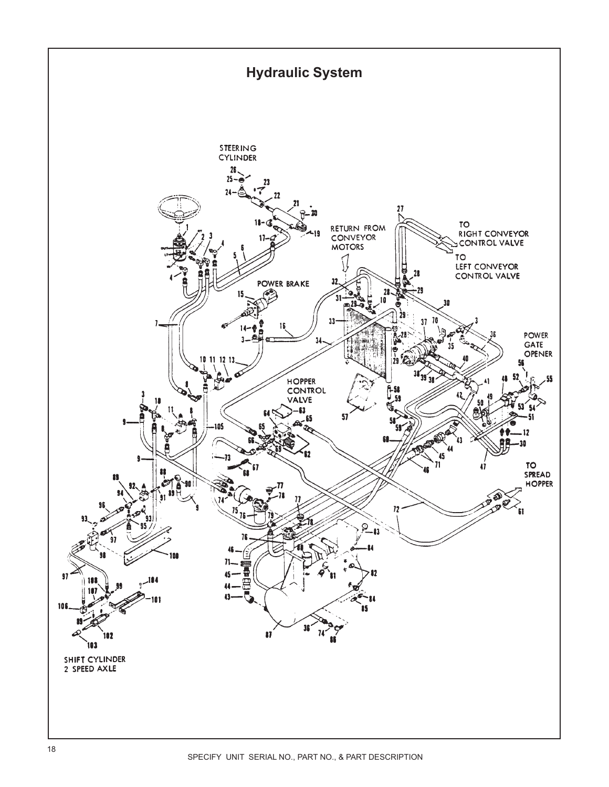<span id="page-17-0"></span>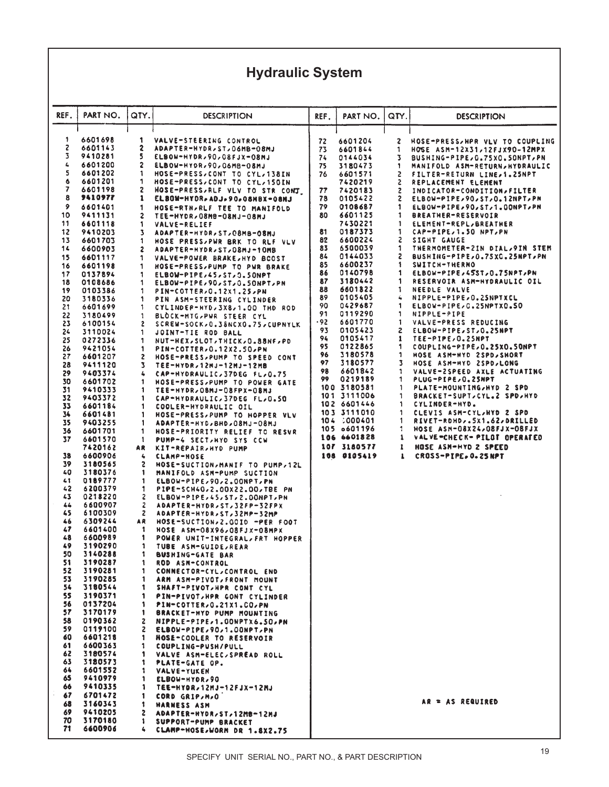## **Hydraulic System**

| REF.       | PART NO.           | QTY.         | DESCRIPTION                                                   | REF.     | PART NO.                   | QTY.   | <b>DESCRIPTION</b>                                           |
|------------|--------------------|--------------|---------------------------------------------------------------|----------|----------------------------|--------|--------------------------------------------------------------|
|            |                    |              |                                                               |          |                            |        |                                                              |
| 1          | 6601698            | 1.           | VALVE-STEERING CONTROL                                        | 72       | 6601204                    | 2      | HOSE-PRESS, HPR VLV TO COUPLING                              |
| S.         | 6601143            | 2            | ADAPTER-HYDR, ST, O6MB-08MJ                                   | 73       | 6601844                    | 1      | HOSE $ASM=12x31,12FJX90-12MPX$                               |
| 3          | 9410281            | 5            | ELBOW-HYDR, 90, 08FJX-08MJ                                    | 74       | 0144034                    | 3      | BUSHING-PIPE, G.75XC.5ONPT, PN                               |
| 4          | 6601200            | 2            | ELBOW-HYDR, 90, 06MB-08MJ                                     | 75       | 3180473                    | 1      | MANIFOLD ASM-RETURN, HYDRAULIC                               |
| 5          | 6601202            | 1            | HOSE-PRESS, CONT TO CYL, 138IN                                | 76       | 6601571                    | 2      | FILTER-RETURN LINE,1.25NPT                                   |
| 6          | 6601201            | 1            | HOSE-PRESS, CONT TO CYL, 150IN                                |          | 7420219                    | 2      | REPLACEMENT ELEMENT                                          |
| 7          | 6601198            | 2            | HOSE-PRESS, RLF VLV TO STR CONT.                              | 77       | 7420183                    | 2      | INDICATOR-CONDITION, FILTER                                  |
| 8          | <b>9410977</b>     | 1            | ELBOW-HYDR.ADJ.90.08NBX-08MJ                                  | 78       | 0105422                    | 2      | ELBOW-PIPE, 90, ST, 0.12NPT, PM                              |
| 9<br>10    | 6601401<br>9411131 | 1<br>2       | HOSE-RTN, RLF TEE TO MANIFOLD                                 | 79<br>80 | 0108687<br>6601125         | 1<br>1 | ELBOW-PIPE, 90, ST, 1.00NPT, PN<br><b>BREATHER-RESERVOIR</b> |
| 11         | 6601118            | 1            | LH80-LH80-08MB-03NJ-08MJ<br><b>VALVE-RELIEF</b>               |          | 7430221                    | 1      | ELEMENT-REPL, BREATHER                                       |
| 12         | 9410203            | 3            | ADAPTER-HYDR, ST, C8MB-08MJ                                   | 81       | 0187373                    | 1      | CAP-PIPE,1.50 NPT,PN                                         |
| 13         | 6601703            | 1            | HOSE PRESS, PWR BRK TO RLF VLV                                | 82       | 6600224                    | 2      | SIGHT GAUGE                                                  |
| 14         | 6600903            | 2            | ADAPTER-HYDR, ST, 08MJ-10MB                                   | 83       | 6500039                    | 1      | THERMOMETER-2IN DIAL/9IN STEM                                |
| 15         | 6601117            | 1            | VALVE-POWER BRAKE, HYD BCOST                                  | 84       | 0144033                    | 2      | BUSHING-PIPE, 0.75XC.25NPT, PN                               |
| 16         | 6601198            | 1            | HOSE-PRESS, PUMP TO PWR BRAKE                                 | 85       | 6600237                    | 1      | SWITCH-THERNO                                                |
| 17         | 0137894            | 1            | ELBOW-PIPE,45,ST,0.50NPT                                      | 86<br>87 | 0140798<br>3180442         | 1<br>1 | ELBOW-PIPE,45ST,0.75NPT,PN<br>RESERVOIR ASM-HYDRAULIC OIL    |
| 18<br>19   | 0108686            | 1            | ELBOW-PIPE, 90, ST, 0. SONPT, PN                              | 88       | 6601822                    | 1      | NEEDLE VALVE                                                 |
| 20         | 0103386<br>3180336 | 1<br>1       | PIN-COTTER, 0.12X1.25, PN<br>PIN ASM-STEERING CYLINDER        | 89       | 0105405                    | 4      | NIPPLE-PIPE, 0.2SNPTXCL                                      |
| 21         | 6601699            | 1            | CYLINDER-HYD, 3X8, 1.00 THD ROD                               | 90       | 0429687                    | 1      | ELBOW-PIPE, G.25NPTX0.50                                     |
| 22         | 3180499            | 1            | BLOCK-MTG, PWR STEER CYL                                      | 91       | 0119290                    | 1      | <b>NIPPLE-PIPE</b>                                           |
| 23         | 6100154            | 2            | SCREW-SOCK, 0.38NCX0.75, CUPNYLK                              | .92      | 6601770                    | 1      | VALVE-PRESS REDUCING                                         |
| 24         | 3110024            | 1            | JOINT-TIE ROD BALL                                            | 93       | 0105423                    | 2      | ELBOW-PIPE, ST, 0.25NPT                                      |
| 25         | 0272336            | 1            | NUT-HEX, SLOT, THICK, O.88NF, PD                              | 94<br>95 | 0105417                    | 1      | TEE-PIPE, 0.25NPT                                            |
| 26<br>27   | 9421054            | 1            | PIN-COTTER, 0.12X2.50, PN                                     | 96       | 0122865<br>3180578         | 1<br>1 | COUPLING-PIPE, 0.25X0.50NPT<br>HOSE ASM-HYD 2SPD, SHORT      |
| 28         | 6601207<br>9411120 | 2<br>3       | HOSE-PRESS, PUMP TO SPEED CONT<br>TEE-HYDR,12MJ-12MJ-12MB     | 97       | 3180577                    | 3      | HOSE ASM-HYD 2SPD, LONG                                      |
| 29         | 9403374            | 4            | CAP-HYDRAULIC, 37DEG FL, 0.75                                 | 98       | 6601842                    | 1      | VALVE-2SPEED AXLE ACTUATING                                  |
| 30         | 6601702            | 1            | HOSE-PRESS, PUMP TO POWER GATE                                | 99       | 0219189                    | 1      | PLUG-PIPE, 0.25NPT                                           |
| 31         | 9410333            | 1            | TEE-HYDR, OBMJ-08FPX-08MJ                                     |          | 100 3180581                | 1      | PLATE-MOUNTING, HYD 2 SPD                                    |
| 32         | 9403372            | 1            | CAP-HYDRAULIC, 37DEG FL, 0.50                                 |          | 101 3111006<br>102 6601446 | 1<br>1 | BRACKET-SUPT, CYL.2 SPD, HYD<br>CYLINDER-HYD.                |
| 33<br>34   | 6601184<br>6601481 | 1<br>1       | COOLER-HYDRAULIC OIL                                          |          | 103 3111010                | 1      | CLEVIS ASM-CYL/HYD 2 SPD                                     |
| 35         | 9403255            | 1            | HOSE-PRESS, PUMP TO HOPPER VLV<br>ADAPTER-HYD, BHD, OSMJ-08MJ |          | 104 000401                 | 1      | RIVET-ROHD,.5X1.62,DRILLED                                   |
| 36         | 6601701            | 1            | HOSE-PRIORITY RELIEF TO RESVR                                 |          | 105 0601196                | 1      | HOSE ASM-08X24,08FJX-08FJX                                   |
| 37         | 6601570            | 1            | PUMP-4 SECT, HYD SYS CCW                                      |          | 106 6601828                | 1      | VALVE=CHECK= PILOT OPERATED                                  |
|            | 7420162            | AR           | KIT-REPAIR, HYD PUMP                                          |          | 107 3180577                | 1      | HOSE ASH-HYD 2 SPEED                                         |
| 38         | 6600906            | 4            | <b>CLAMP-HOSE</b>                                             |          | 108 0105419                | 1      | CROSS-PIPE. 0.25 NPT                                         |
| 39         | 3180565<br>3180376 | 2            | HOSE-SUCTION, MANIF TO PUMP, 12L                              |          |                            |        |                                                              |
| 40<br>41   | 0189777            | 1<br>1       | MANIFOLD ASM-PUMP SUCTION<br>ELBOW-PIPE, 90, 2.00NPT, PN      |          |                            |        |                                                              |
| 42         | 6200379            | 1            | PIPE-SCH40,2.00X22.00,TBE PN                                  |          |                            |        |                                                              |
| 43         | 0218220            | 2            | ELBOW-PIPE,45,ST,2.DONPT,PN                                   |          |                            |        |                                                              |
| 44         | 6600907            | 2            | ADAPTER-HYDR, ST, 32FP-32FPX                                  |          |                            |        |                                                              |
| 45         | 6100309            | $\mathbf{z}$ | ADAPTER-HYDR, ST, 32MP-32MP                                   |          |                            |        |                                                              |
| 46<br>47   | 6309244<br>6601400 | AR<br>-1     | HOSE-SUCTION, 2.0010 -PER FOOT                                |          |                            |        |                                                              |
| 48         | 6600989            | 1            | HOSE ASM-08X96,08FJX-08MPX<br>POWER UNIT-INTEGRAL, FRT HOPPER |          |                            |        |                                                              |
| 49         | 3190290            | 1            | TUBE ASM-GUIDE, REAR                                          |          |                            |        |                                                              |
| 50         | 3140288            | 1            | <b>BUSHING-GATE BAR</b>                                       |          |                            |        |                                                              |
| 51.        | 3190287            | 1            | ROD ASN-CONTROL                                               |          |                            |        |                                                              |
| 52         | 3190281            | $\mathbf{1}$ | CONNECTOR-CYL, CONTROL END                                    |          |                            |        |                                                              |
| 53         | 3190285            | 1            | ARM ASM-PIVOT, FRONT MOUNT                                    |          |                            |        |                                                              |
| 54.<br>55. | 3180544            | Т.           | SHAFT-PIVOT, HPR CONT CYL                                     |          |                            |        |                                                              |
| 56.        | 3190371<br>0137204 | 1<br>1       | PIN-PIVOT, HPR CONT CYLINDER<br>PIN-COTTER, 0.21X1.CO, PN     |          |                            |        |                                                              |
| 57.        | 3170179            | 1            | BRACKET-HYD PUMP MOUNTING                                     |          |                            |        |                                                              |
| 58         | 0190362            | 2            | NIPPLE-PIPE,1.00NPTX6.50, PN                                  |          |                            |        |                                                              |
| 59         | 0119100            | 2.           | ELBOW-PIPE, 90, 1.00NPT, PN                                   |          |                            |        |                                                              |
| 60         | 6601218            | 1            | HOSE-COOLER TO RESERVOIR                                      |          |                            |        |                                                              |
| 61         | 6600363            | 1            | COUPLING-PUSH/PULL                                            |          |                            |        |                                                              |
| 62<br>63   | 3180574<br>3180573 | 1<br>1       | VALVE ASM-ELEC, SPREAD ROLL                                   |          |                            |        |                                                              |
| 64.        | 6601552            | 1            | PLATE-GATE OP.<br><b>VALVE-YUKEN</b>                          |          |                            |        |                                                              |
| 65         | 9410979            | 1            | ELBOW-HYDR, 90                                                |          |                            |        |                                                              |
| 66.        | 9410335            | 1            | TEE-HYDR,12MJ-12FJX-12MJ                                      |          |                            |        |                                                              |
| 67         | 6701472            | 1            | CORD GRIP,M,O                                                 |          |                            |        |                                                              |
| 68         | 3160343            | 1            | <b>HARNESS ASM</b>                                            |          |                            |        | AR = AS REQUIRED                                             |
| 69<br>70   | 9410205            | $\mathbf{z}$ | ADAPTER-HYDR, ST, 12MB-12MJ                                   |          |                            |        |                                                              |
| 71         | 3170180<br>6600906 | 1<br>4       | SUPPORT-PUMP BRACKET                                          |          |                            |        |                                                              |
|            |                    |              | CLAMP-HOSE, WORM DR 1.8X2.75                                  |          |                            |        |                                                              |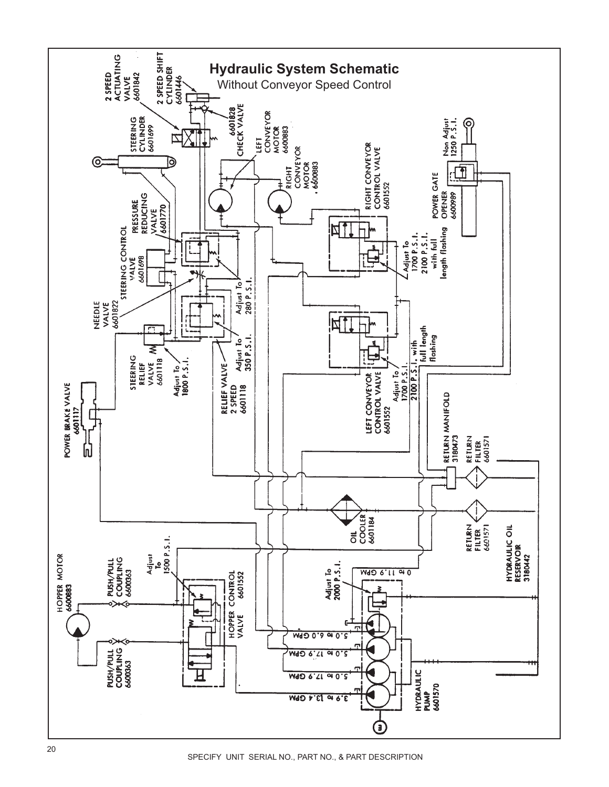<span id="page-19-0"></span>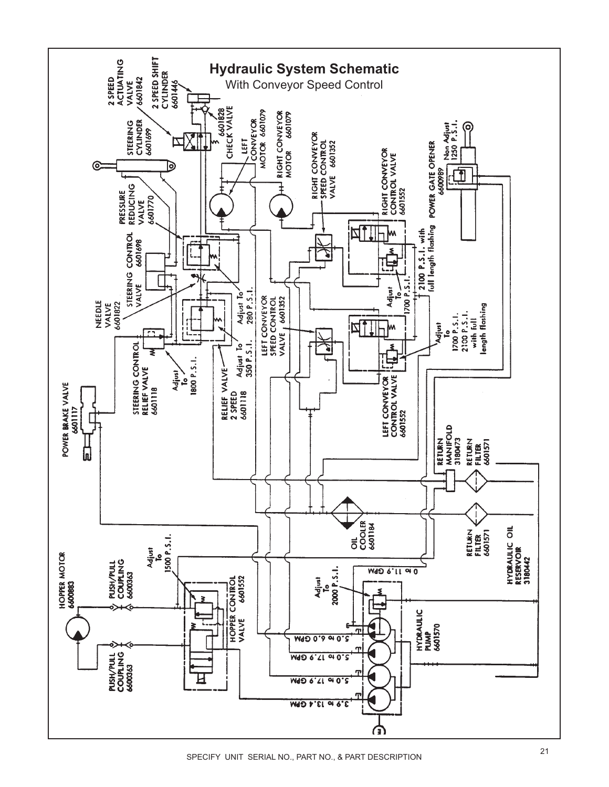